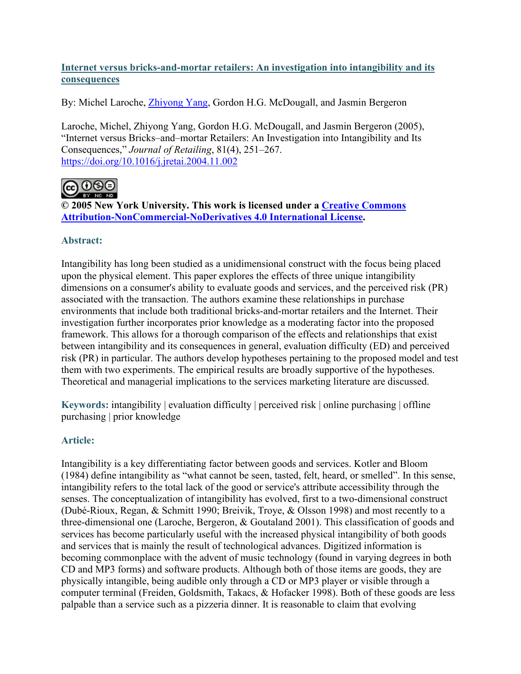## **Internet versus bricks-and-mortar retailers: An investigation into intangibility and its consequences**

By: Michel Laroche, [Zhiyong Yang,](https://libres.uncg.edu/ir/uncg/clist.aspx?id=25898) Gordon H.G. McDougall, and Jasmin Bergeron

Laroche, Michel, Zhiyong Yang, Gordon H.G. McDougall, and Jasmin Bergeron (2005), "Internet versus Bricks–and–mortar Retailers: An Investigation into Intangibility and Its Consequences," *Journal of Retailing*, 81(4), 251–267. <https://doi.org/10.1016/j.jretai.2004.11.002>

#### |ெ®ெ BY NO ND

**© 2005 New York University. This work is licensed under a [Creative Commons](http://creativecommons.org/licenses/by-nc-nd/4.0/)  [Attribution-NonCommercial-NoDerivatives 4.0 International License.](http://creativecommons.org/licenses/by-nc-nd/4.0/)**

# **Abstract:**

Intangibility has long been studied as a unidimensional construct with the focus being placed upon the physical element. This paper explores the effects of three unique intangibility dimensions on a consumer's ability to evaluate goods and services, and the perceived risk (PR) associated with the transaction. The authors examine these relationships in purchase environments that include both traditional bricks-and-mortar retailers and the Internet. Their investigation further incorporates prior knowledge as a moderating factor into the proposed framework. This allows for a thorough comparison of the effects and relationships that exist between intangibility and its consequences in general, evaluation difficulty (ED) and perceived risk (PR) in particular. The authors develop hypotheses pertaining to the proposed model and test them with two experiments. The empirical results are broadly supportive of the hypotheses. Theoretical and managerial implications to the services marketing literature are discussed.

**Keywords:** intangibility | evaluation difficulty | perceived risk | online purchasing | offline purchasing | prior knowledge

# **Article:**

Intangibility is a key differentiating factor between goods and services. Kotler and Bloom (1984) define intangibility as "what cannot be seen, tasted, felt, heard, or smelled". In this sense, intangibility refers to the total lack of the good or service's attribute accessibility through the senses. The conceptualization of intangibility has evolved, first to a two-dimensional construct (Dubé-Rioux, Regan, & Schmitt 1990; Breivik, Troye, & Olsson 1998) and most recently to a three-dimensional one (Laroche, Bergeron, & Goutaland 2001). This classification of goods and services has become particularly useful with the increased physical intangibility of both goods and services that is mainly the result of technological advances. Digitized information is becoming commonplace with the advent of music technology (found in varying degrees in both CD and MP3 forms) and software products. Although both of those items are goods, they are physically intangible, being audible only through a CD or MP3 player or visible through a computer terminal (Freiden, Goldsmith, Takacs, & Hofacker 1998). Both of these goods are less palpable than a service such as a pizzeria dinner. It is reasonable to claim that evolving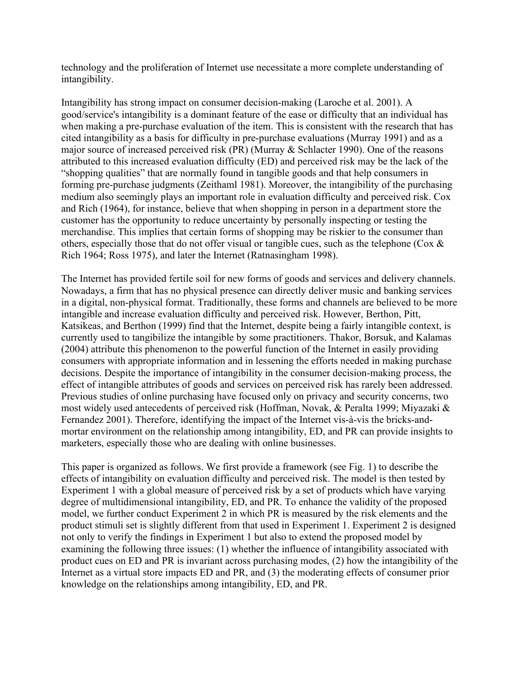technology and the proliferation of Internet use necessitate a more complete understanding of intangibility.

Intangibility has strong impact on consumer decision-making (Laroche et al. 2001). A good/service's intangibility is a dominant feature of the ease or difficulty that an individual has when making a pre-purchase evaluation of the item. This is consistent with the research that has cited intangibility as a basis for difficulty in pre-purchase evaluations (Murray 1991) and as a major source of increased perceived risk (PR) (Murray & Schlacter 1990). One of the reasons attributed to this increased evaluation difficulty (ED) and perceived risk may be the lack of the "shopping qualities" that are normally found in tangible goods and that help consumers in forming pre-purchase judgments (Zeithaml 1981). Moreover, the intangibility of the purchasing medium also seemingly plays an important role in evaluation difficulty and perceived risk. Cox and Rich (1964), for instance, believe that when shopping in person in a department store the customer has the opportunity to reduce uncertainty by personally inspecting or testing the merchandise. This implies that certain forms of shopping may be riskier to the consumer than others, especially those that do not offer visual or tangible cues, such as the telephone (Cox & Rich 1964; Ross 1975), and later the Internet (Ratnasingham 1998).

The Internet has provided fertile soil for new forms of goods and services and delivery channels. Nowadays, a firm that has no physical presence can directly deliver music and banking services in a digital, non-physical format. Traditionally, these forms and channels are believed to be more intangible and increase evaluation difficulty and perceived risk. However, Berthon, Pitt, Katsikeas, and Berthon (1999) find that the Internet, despite being a fairly intangible context, is currently used to tangibilize the intangible by some practitioners. Thakor, Borsuk, and Kalamas (2004) attribute this phenomenon to the powerful function of the Internet in easily providing consumers with appropriate information and in lessening the efforts needed in making purchase decisions. Despite the importance of intangibility in the consumer decision-making process, the effect of intangible attributes of goods and services on perceived risk has rarely been addressed. Previous studies of online purchasing have focused only on privacy and security concerns, two most widely used antecedents of perceived risk (Hoffman, Novak, & Peralta 1999; Miyazaki & Fernandez 2001). Therefore, identifying the impact of the Internet vis-à-vis the bricks-andmortar environment on the relationship among intangibility, ED, and PR can provide insights to marketers, especially those who are dealing with online businesses.

This paper is organized as follows. We first provide a framework (see Fig. 1) to describe the effects of intangibility on evaluation difficulty and perceived risk. The model is then tested by Experiment 1 with a global measure of perceived risk by a set of products which have varying degree of multidimensional intangibility, ED, and PR. To enhance the validity of the proposed model, we further conduct Experiment 2 in which PR is measured by the risk elements and the product stimuli set is slightly different from that used in Experiment 1. Experiment 2 is designed not only to verify the findings in Experiment 1 but also to extend the proposed model by examining the following three issues: (1) whether the influence of intangibility associated with product cues on ED and PR is invariant across purchasing modes, (2) how the intangibility of the Internet as a virtual store impacts ED and PR, and (3) the moderating effects of consumer prior knowledge on the relationships among intangibility, ED, and PR.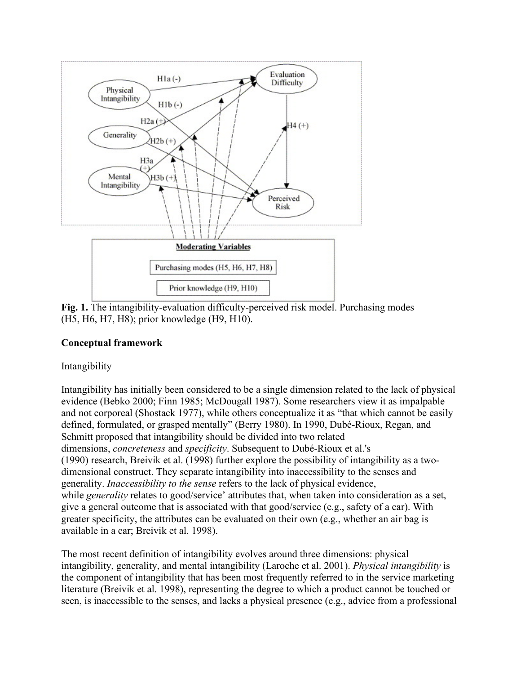

**Fig. 1.** The intangibility-evaluation difficulty-perceived risk model. Purchasing modes (H5, H6, H7, H8); prior knowledge (H9, H10).

## **Conceptual framework**

Intangibility

Intangibility has initially been considered to be a single dimension related to the lack of physical evidence (Bebko 2000; Finn 1985; McDougall 1987). Some researchers view it as impalpable and not corporeal (Shostack 1977), while others conceptualize it as "that which cannot be easily defined, formulated, or grasped mentally" (Berry 1980). In 1990, Dubé-Rioux, Regan, and Schmitt proposed that intangibility should be divided into two related dimensions, *concreteness* and *specificity*. Subsequent to Dubé-Rioux et al.'s (1990) research, Breivik et al. (1998) further explore the possibility of intangibility as a twodimensional construct. They separate intangibility into inaccessibility to the senses and generality. *Inaccessibility to the sense* refers to the lack of physical evidence, while *generality* relates to good/service' attributes that, when taken into consideration as a set, give a general outcome that is associated with that good/service (e.g., safety of a car). With greater specificity, the attributes can be evaluated on their own (e.g., whether an air bag is available in a car; Breivik et al. 1998).

The most recent definition of intangibility evolves around three dimensions: physical intangibility, generality, and mental intangibility (Laroche et al. 2001). *Physical intangibility* is the component of intangibility that has been most frequently referred to in the service marketing literature (Breivik et al. 1998), representing the degree to which a product cannot be touched or seen, is inaccessible to the senses, and lacks a physical presence (e.g., advice from a professional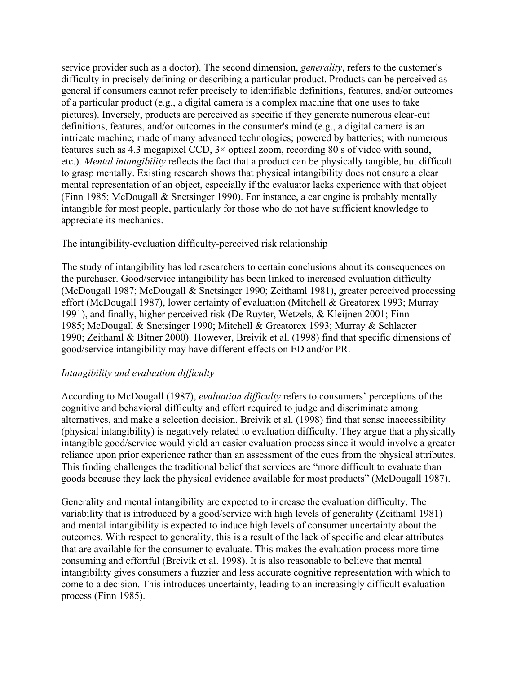service provider such as a doctor). The second dimension, *generality*, refers to the customer's difficulty in precisely defining or describing a particular product. Products can be perceived as general if consumers cannot refer precisely to identifiable definitions, features, and/or outcomes of a particular product (e.g., a digital camera is a complex machine that one uses to take pictures). Inversely, products are perceived as specific if they generate numerous clear-cut definitions, features, and/or outcomes in the consumer's mind (e.g., a digital camera is an intricate machine; made of many advanced technologies; powered by batteries; with numerous features such as 4.3 megapixel CCD,  $3 \times$  optical zoom, recording 80 s of video with sound, etc.). *Mental intangibility* reflects the fact that a product can be physically tangible, but difficult to grasp mentally. Existing research shows that physical intangibility does not ensure a clear mental representation of an object, especially if the evaluator lacks experience with that object (Finn 1985; McDougall & Snetsinger 1990). For instance, a car engine is probably mentally intangible for most people, particularly for those who do not have sufficient knowledge to appreciate its mechanics.

The intangibility-evaluation difficulty-perceived risk relationship

The study of intangibility has led researchers to certain conclusions about its consequences on the purchaser. Good/service intangibility has been linked to increased evaluation difficulty (McDougall 1987; McDougall & Snetsinger 1990; Zeithaml 1981), greater perceived processing effort (McDougall 1987), lower certainty of evaluation (Mitchell & Greatorex 1993; Murray 1991), and finally, higher perceived risk (De Ruyter, Wetzels, & Kleijnen 2001; Finn 1985; McDougall & Snetsinger 1990; Mitchell & Greatorex 1993; Murray & Schlacter 1990; Zeithaml & Bitner 2000). However, Breivik et al. (1998) find that specific dimensions of good/service intangibility may have different effects on ED and/or PR.

## *Intangibility and evaluation difficulty*

According to McDougall (1987), *evaluation difficulty* refers to consumers' perceptions of the cognitive and behavioral difficulty and effort required to judge and discriminate among alternatives, and make a selection decision. Breivik et al. (1998) find that sense inaccessibility (physical intangibility) is negatively related to evaluation difficulty. They argue that a physically intangible good/service would yield an easier evaluation process since it would involve a greater reliance upon prior experience rather than an assessment of the cues from the physical attributes. This finding challenges the traditional belief that services are "more difficult to evaluate than goods because they lack the physical evidence available for most products" (McDougall 1987).

Generality and mental intangibility are expected to increase the evaluation difficulty. The variability that is introduced by a good/service with high levels of generality (Zeithaml 1981) and mental intangibility is expected to induce high levels of consumer uncertainty about the outcomes. With respect to generality, this is a result of the lack of specific and clear attributes that are available for the consumer to evaluate. This makes the evaluation process more time consuming and effortful (Breivik et al. 1998). It is also reasonable to believe that mental intangibility gives consumers a fuzzier and less accurate cognitive representation with which to come to a decision. This introduces uncertainty, leading to an increasingly difficult evaluation process (Finn 1985).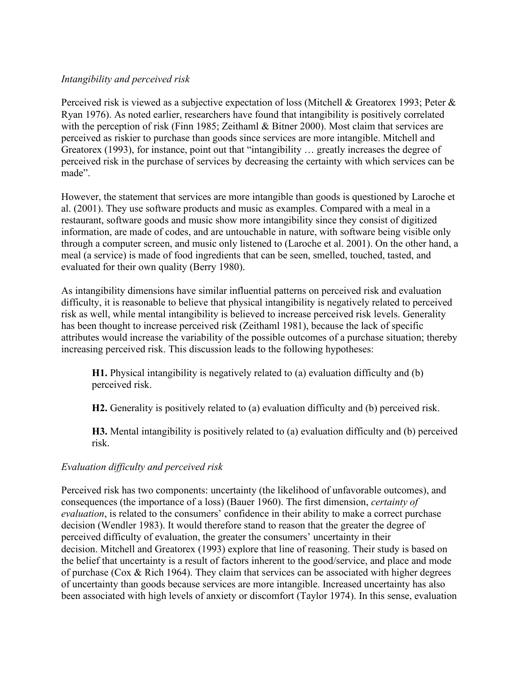### *Intangibility and perceived risk*

Perceived risk is viewed as a subjective expectation of loss (Mitchell & Greatorex 1993; Peter & Ryan 1976). As noted earlier, researchers have found that intangibility is positively correlated with the perception of risk (Finn 1985; Zeithaml & Bitner 2000). Most claim that services are perceived as riskier to purchase than goods since services are more intangible. Mitchell and Greatorex (1993), for instance, point out that "intangibility … greatly increases the degree of perceived risk in the purchase of services by decreasing the certainty with which services can be made".

However, the statement that services are more intangible than goods is questioned by Laroche et al. (2001). They use software products and music as examples. Compared with a meal in a restaurant, software goods and music show more intangibility since they consist of digitized information, are made of codes, and are untouchable in nature, with software being visible only through a computer screen, and music only listened to (Laroche et al. 2001). On the other hand, a meal (a service) is made of food ingredients that can be seen, smelled, touched, tasted, and evaluated for their own quality (Berry 1980).

As intangibility dimensions have similar influential patterns on perceived risk and evaluation difficulty, it is reasonable to believe that physical intangibility is negatively related to perceived risk as well, while mental intangibility is believed to increase perceived risk levels. Generality has been thought to increase perceived risk (Zeithaml 1981), because the lack of specific attributes would increase the variability of the possible outcomes of a purchase situation; thereby increasing perceived risk. This discussion leads to the following hypotheses:

**H1.** Physical intangibility is negatively related to (a) evaluation difficulty and (b) perceived risk.

**H2.** Generality is positively related to (a) evaluation difficulty and (b) perceived risk.

**H3.** Mental intangibility is positively related to (a) evaluation difficulty and (b) perceived risk.

## *Evaluation difficulty and perceived risk*

Perceived risk has two components: uncertainty (the likelihood of unfavorable outcomes), and consequences (the importance of a loss) (Bauer 1960). The first dimension, *certainty of evaluation*, is related to the consumers' confidence in their ability to make a correct purchase decision (Wendler 1983). It would therefore stand to reason that the greater the degree of perceived difficulty of evaluation, the greater the consumers' uncertainty in their decision. Mitchell and Greatorex (1993) explore that line of reasoning. Their study is based on the belief that uncertainty is a result of factors inherent to the good/service, and place and mode of purchase (Cox & Rich 1964). They claim that services can be associated with higher degrees of uncertainty than goods because services are more intangible. Increased uncertainty has also been associated with high levels of anxiety or discomfort (Taylor 1974). In this sense, evaluation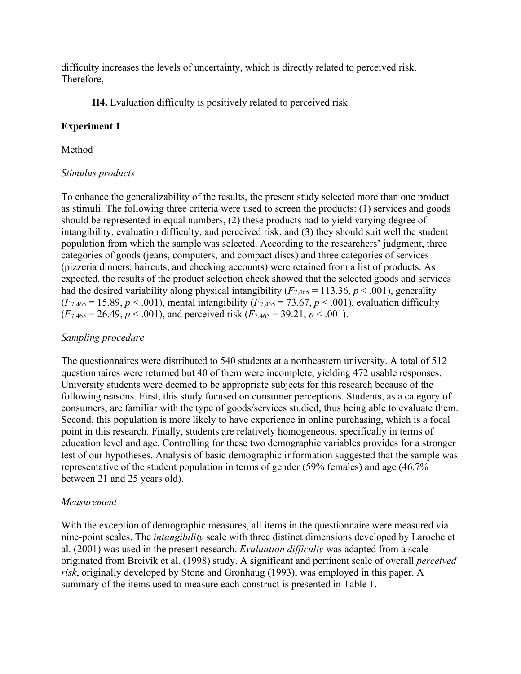difficulty increases the levels of uncertainty, which is directly related to perceived risk. Therefore,

**H4.** Evaluation difficulty is positively related to perceived risk.

## **Experiment 1**

## Method

## *Stimulus products*

To enhance the generalizability of the results, the present study selected more than one product as stimuli. The following three criteria were used to screen the products: (1) services and goods should be represented in equal numbers, (2) these products had to yield varying degree of intangibility, evaluation difficulty, and perceived risk, and (3) they should suit well the student population from which the sample was selected. According to the researchers' judgment, three categories of goods (jeans, computers, and compact discs) and three categories of services (pizzeria dinners, haircuts, and checking accounts) were retained from a list of products. As expected, the results of the product selection check showed that the selected goods and services had the desired variability along physical intangibility  $(F_{7,465} = 113.36, p < .001)$ , generality  $(F_{7,465} = 15.89, p < .001)$ , mental intangibility  $(F_{7,465} = 73.67, p < .001)$ , evaluation difficulty  $(F_{7,465} = 26.49, p < .001)$ , and perceived risk  $(F_{7,465} = 39.21, p < .001)$ .

## *Sampling procedure*

The questionnaires were distributed to 540 students at a northeastern university. A total of 512 questionnaires were returned but 40 of them were incomplete, yielding 472 usable responses. University students were deemed to be appropriate subjects for this research because of the following reasons. First, this study focused on consumer perceptions. Students, as a category of consumers, are familiar with the type of goods/services studied, thus being able to evaluate them. Second, this population is more likely to have experience in online purchasing, which is a focal point in this research. Finally, students are relatively homogeneous, specifically in terms of education level and age. Controlling for these two demographic variables provides for a stronger test of our hypotheses. Analysis of basic demographic information suggested that the sample was representative of the student population in terms of gender (59% females) and age (46.7% between 21 and 25 years old).

## *Measurement*

With the exception of demographic measures, all items in the questionnaire were measured via nine-point scales. The *intangibility* scale with three distinct dimensions developed by Laroche et al. (2001) was used in the present research. *Evaluation difficulty* was adapted from a scale originated from Breivik et al. (1998) study. A significant and pertinent scale of overall *perceived risk*, originally developed by Stone and Gronhaug (1993), was employed in this paper. A summary of the items used to measure each construct is presented in Table 1.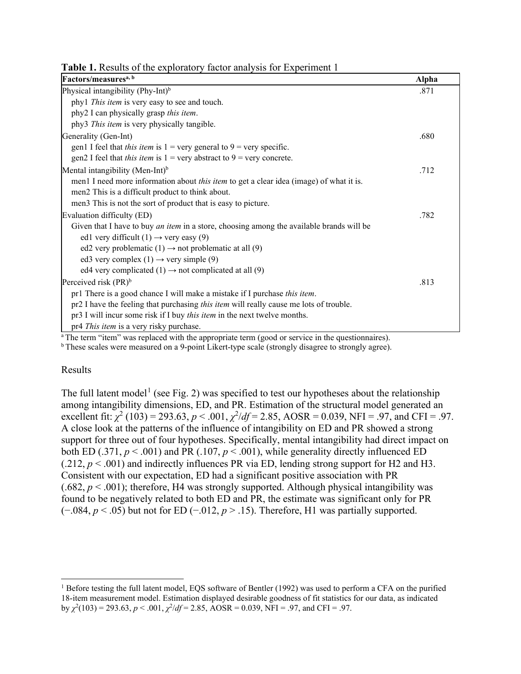**Table 1.** Results of the exploratory factor analysis for Experiment 1

| Factors/measures <sup>a, b</sup>                                                               | Alpha |
|------------------------------------------------------------------------------------------------|-------|
| Physical intangibility (Phy-Int) <sup>b</sup>                                                  | .871  |
| phyl This item is very easy to see and touch.                                                  |       |
| phy2 I can physically grasp this item.                                                         |       |
| phy3 This item is very physically tangible.                                                    |       |
| Generality (Gen-Int)                                                                           | .680  |
| gen1 I feel that <i>this item</i> is $1 = \text{very general to } 9 = \text{very specific.}$   |       |
| gen2 I feel that <i>this item</i> is $1 = \text{very abstract to } 9 = \text{very concrete.}$  |       |
| Mental intangibility (Men-Int) <sup>b</sup>                                                    | .712  |
| men1 I need more information about <i>this item</i> to get a clear idea (image) of what it is. |       |
| men2 This is a difficult product to think about.                                               |       |
| men3 This is not the sort of product that is easy to picture.                                  |       |
| Evaluation difficulty (ED)                                                                     | .782  |
| Given that I have to buy an item in a store, choosing among the available brands will be       |       |
| ed1 very difficult $(1) \rightarrow$ very easy $(9)$                                           |       |
| ed2 very problematic $(1) \rightarrow$ not problematic at all $(9)$                            |       |
| ed3 very complex (1) $\rightarrow$ very simple (9)                                             |       |
| ed4 very complicated $(1) \rightarrow$ not complicated at all $(9)$                            |       |
| Perceived risk $(PR)^{b}$                                                                      | .813  |
| pr1 There is a good chance I will make a mistake if I purchase this item.                      |       |
| pr2 I have the feeling that purchasing this item will really cause me lots of trouble.         |       |
| pr3 I will incur some risk if I buy <i>this item</i> in the next twelve months.                |       |
| pr4 This item is a very risky purchase.                                                        |       |

<sup>a</sup> The term "item" was replaced with the appropriate term (good or service in the questionnaires).

<sup>b</sup> These scales were measured on a 9-point Likert-type scale (strongly disagree to strongly agree).

#### Results

The full latent model<sup>[1](#page-6-0)</sup> (see Fig. 2) was specified to test our hypotheses about the relationship among intangibility dimensions, ED, and PR. Estimation of the structural model generated an excellent fit:  $\chi^2$  (103) = 293.63,  $p < .001$ ,  $\chi^2/df = 2.85$ , AOSR = 0.039, NFI = .97, and CFI = .97. A close look at the patterns of the influence of intangibility on ED and PR showed a strong support for three out of four hypotheses. Specifically, mental intangibility had direct impact on both ED (.371,  $p < .001$ ) and PR (.107,  $p < .001$ ), while generality directly influenced ED  $(0.212, p < 0.001)$  and indirectly influences PR via ED, lending strong support for H2 and H3. Consistent with our expectation, ED had a significant positive association with PR  $(.682, p < .001)$ ; therefore, H4 was strongly supported. Although physical intangibility was found to be negatively related to both ED and PR, the estimate was significant only for PR (−.084, *p* < .05) but not for ED (−.012, *p* > .15). Therefore, H1 was partially supported.

<span id="page-6-0"></span><sup>&</sup>lt;sup>1</sup> Before testing the full latent model, EOS software of Bentler (1992) was used to perform a CFA on the purified 18-item measurement model. Estimation displayed desirable goodness of fit statistics for our data, as indicated by  $\chi^2(103) = 293.63$ ,  $p < .001$ ,  $\chi^2/df = 2.85$ , AOSR = 0.039, NFI = .97, and CFI = .97.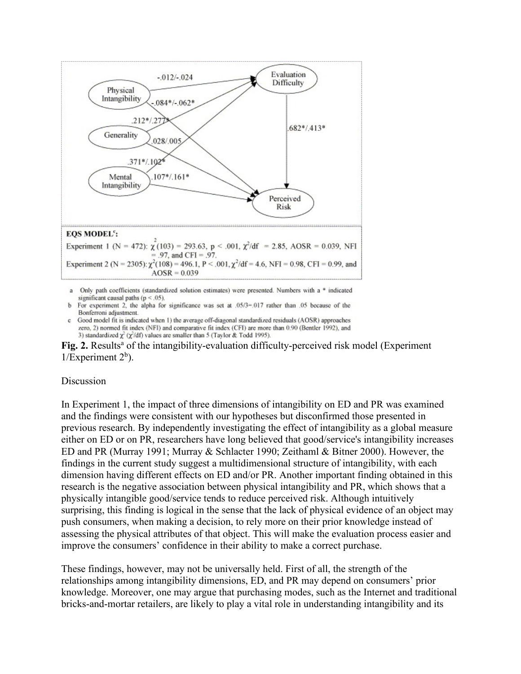

Only path coefficients (standardized solution estimates) were presented. Numbers with a \* indicated a significant causal paths ( $p < .05$ ).

For experiment 2, the alpha for significance was set at .05/3=.017 rather than .05 because of the  $\mathbf b$ Bonferroni adjustment.

Good model fit is indicated when 1) the average off-diagonal standardized residuals (AOSR) approaches zero, 2) normed fit index (NFI) and comparative fit index (CFI) are more than 0.90 (Bentler 1992), and 3) standardized  $\chi^2$  ( $\chi^2$ /df) values are smaller than 5 (Taylor & Todd 1995).

**Fig. 2.** Results<sup>a</sup> of the intangibility-evaluation difficulty-perceived risk model (Experiment  $1/Experiment 2<sup>b</sup>$ ).

#### **Discussion**

In Experiment 1, the impact of three dimensions of intangibility on ED and PR was examined and the findings were consistent with our hypotheses but disconfirmed those presented in previous research. By independently investigating the effect of intangibility as a global measure either on ED or on PR, researchers have long believed that good/service's intangibility increases ED and PR (Murray 1991; Murray & Schlacter 1990; Zeithaml & Bitner 2000). However, the findings in the current study suggest a multidimensional structure of intangibility, with each dimension having different effects on ED and/or PR. Another important finding obtained in this research is the negative association between physical intangibility and PR, which shows that a physically intangible good/service tends to reduce perceived risk. Although intuitively surprising, this finding is logical in the sense that the lack of physical evidence of an object may push consumers, when making a decision, to rely more on their prior knowledge instead of assessing the physical attributes of that object. This will make the evaluation process easier and improve the consumers' confidence in their ability to make a correct purchase.

These findings, however, may not be universally held. First of all, the strength of the relationships among intangibility dimensions, ED, and PR may depend on consumers' prior knowledge. Moreover, one may argue that purchasing modes, such as the Internet and traditional bricks-and-mortar retailers, are likely to play a vital role in understanding intangibility and its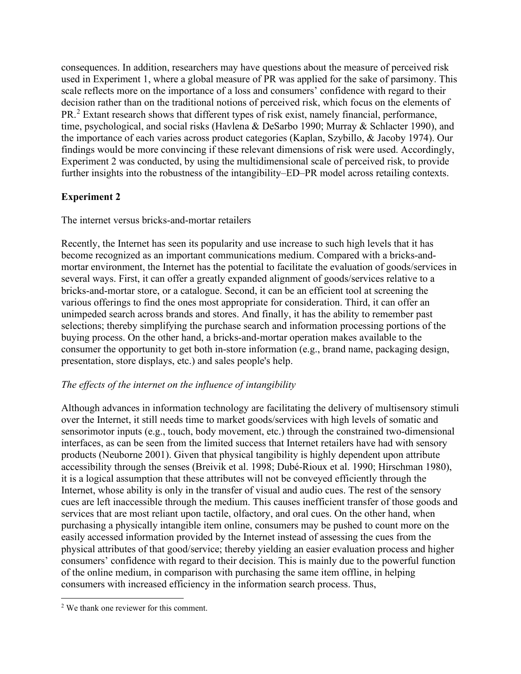consequences. In addition, researchers may have questions about the measure of perceived risk used in Experiment 1, where a global measure of PR was applied for the sake of parsimony. This scale reflects more on the importance of a loss and consumers' confidence with regard to their decision rather than on the traditional notions of perceived risk, which focus on the elements of PR.[2](#page-8-0) Extant research shows that different types of risk exist, namely financial, performance, time, psychological, and social risks (Havlena & DeSarbo 1990; Murray & Schlacter 1990), and the importance of each varies across product categories (Kaplan, Szybillo, & Jacoby 1974). Our findings would be more convincing if these relevant dimensions of risk were used. Accordingly, Experiment 2 was conducted, by using the multidimensional scale of perceived risk, to provide further insights into the robustness of the intangibility–ED–PR model across retailing contexts.

## **Experiment 2**

The internet versus bricks-and-mortar retailers

Recently, the Internet has seen its popularity and use increase to such high levels that it has become recognized as an important communications medium. Compared with a bricks-andmortar environment, the Internet has the potential to facilitate the evaluation of goods/services in several ways. First, it can offer a greatly expanded alignment of goods/services relative to a bricks-and-mortar store, or a catalogue. Second, it can be an efficient tool at screening the various offerings to find the ones most appropriate for consideration. Third, it can offer an unimpeded search across brands and stores. And finally, it has the ability to remember past selections; thereby simplifying the purchase search and information processing portions of the buying process. On the other hand, a bricks-and-mortar operation makes available to the consumer the opportunity to get both in-store information (e.g., brand name, packaging design, presentation, store displays, etc.) and sales people's help.

## *The effects of the internet on the influence of intangibility*

Although advances in information technology are facilitating the delivery of multisensory stimuli over the Internet, it still needs time to market goods/services with high levels of somatic and sensorimotor inputs (e.g., touch, body movement, etc.) through the constrained two-dimensional interfaces, as can be seen from the limited success that Internet retailers have had with sensory products (Neuborne 2001). Given that physical tangibility is highly dependent upon attribute accessibility through the senses (Breivik et al. 1998; Dubé-Rioux et al. 1990; Hirschman 1980), it is a logical assumption that these attributes will not be conveyed efficiently through the Internet, whose ability is only in the transfer of visual and audio cues. The rest of the sensory cues are left inaccessible through the medium. This causes inefficient transfer of those goods and services that are most reliant upon tactile, olfactory, and oral cues. On the other hand, when purchasing a physically intangible item online, consumers may be pushed to count more on the easily accessed information provided by the Internet instead of assessing the cues from the physical attributes of that good/service; thereby yielding an easier evaluation process and higher consumers' confidence with regard to their decision. This is mainly due to the powerful function of the online medium, in comparison with purchasing the same item offline, in helping consumers with increased efficiency in the information search process. Thus,

<span id="page-8-0"></span><sup>2</sup> We thank one reviewer for this comment.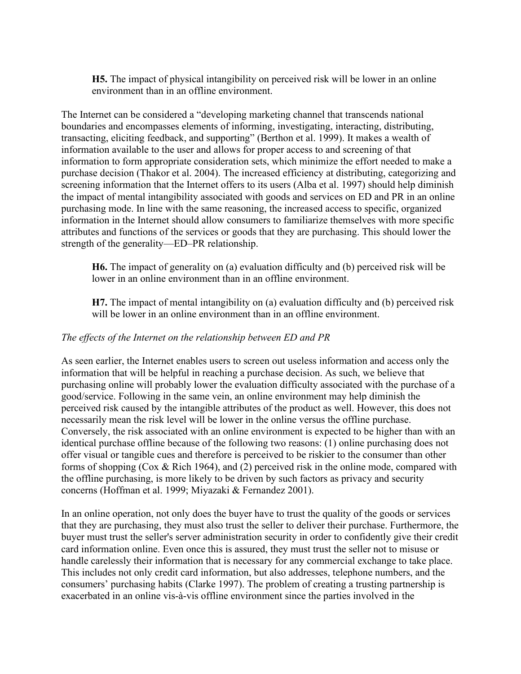**H5.** The impact of physical intangibility on perceived risk will be lower in an online environment than in an offline environment.

The Internet can be considered a "developing marketing channel that transcends national boundaries and encompasses elements of informing, investigating, interacting, distributing, transacting, eliciting feedback, and supporting" (Berthon et al. 1999). It makes a wealth of information available to the user and allows for proper access to and screening of that information to form appropriate consideration sets, which minimize the effort needed to make a purchase decision (Thakor et al. 2004). The increased efficiency at distributing, categorizing and screening information that the Internet offers to its users (Alba et al. 1997) should help diminish the impact of mental intangibility associated with goods and services on ED and PR in an online purchasing mode. In line with the same reasoning, the increased access to specific, organized information in the Internet should allow consumers to familiarize themselves with more specific attributes and functions of the services or goods that they are purchasing. This should lower the strength of the generality—ED–PR relationship.

**H6.** The impact of generality on (a) evaluation difficulty and (b) perceived risk will be lower in an online environment than in an offline environment.

**H7.** The impact of mental intangibility on (a) evaluation difficulty and (b) perceived risk will be lower in an online environment than in an offline environment.

### *The effects of the Internet on the relationship between ED and PR*

As seen earlier, the Internet enables users to screen out useless information and access only the information that will be helpful in reaching a purchase decision. As such, we believe that purchasing online will probably lower the evaluation difficulty associated with the purchase of a good/service. Following in the same vein, an online environment may help diminish the perceived risk caused by the intangible attributes of the product as well. However, this does not necessarily mean the risk level will be lower in the online versus the offline purchase. Conversely, the risk associated with an online environment is expected to be higher than with an identical purchase offline because of the following two reasons: (1) online purchasing does not offer visual or tangible cues and therefore is perceived to be riskier to the consumer than other forms of shopping (Cox & Rich 1964), and (2) perceived risk in the online mode, compared with the offline purchasing, is more likely to be driven by such factors as privacy and security concerns (Hoffman et al. 1999; Miyazaki & Fernandez 2001).

In an online operation, not only does the buyer have to trust the quality of the goods or services that they are purchasing, they must also trust the seller to deliver their purchase. Furthermore, the buyer must trust the seller's server administration security in order to confidently give their credit card information online. Even once this is assured, they must trust the seller not to misuse or handle carelessly their information that is necessary for any commercial exchange to take place. This includes not only credit card information, but also addresses, telephone numbers, and the consumers' purchasing habits (Clarke 1997). The problem of creating a trusting partnership is exacerbated in an online vis-à-vis offline environment since the parties involved in the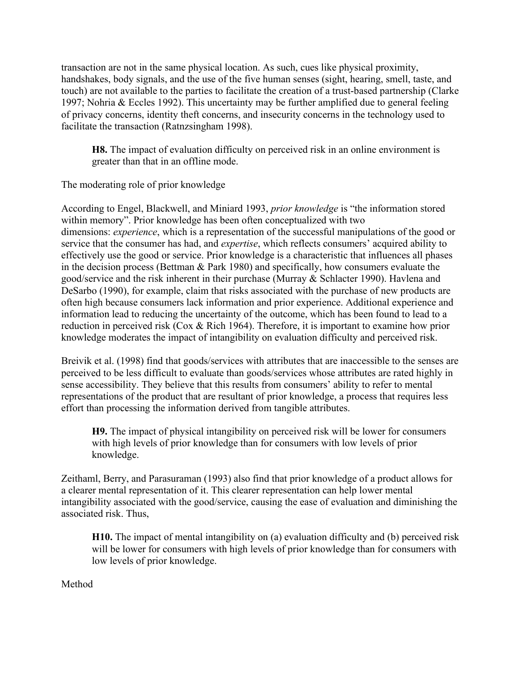transaction are not in the same physical location. As such, cues like physical proximity, handshakes, body signals, and the use of the five human senses (sight, hearing, smell, taste, and touch) are not available to the parties to facilitate the creation of a trust-based partnership (Clarke 1997; Nohria & Eccles 1992). This uncertainty may be further amplified due to general feeling of privacy concerns, identity theft concerns, and insecurity concerns in the technology used to facilitate the transaction (Ratnzsingham 1998).

**H8.** The impact of evaluation difficulty on perceived risk in an online environment is greater than that in an offline mode.

The moderating role of prior knowledge

According to Engel, Blackwell, and Miniard 1993, *prior knowledge* is "the information stored within memory". Prior knowledge has been often conceptualized with two dimensions: *experience*, which is a representation of the successful manipulations of the good or service that the consumer has had, and *expertise*, which reflects consumers' acquired ability to effectively use the good or service. Prior knowledge is a characteristic that influences all phases in the decision process (Bettman & Park 1980) and specifically, how consumers evaluate the good/service and the risk inherent in their purchase (Murray & Schlacter 1990). Havlena and DeSarbo (1990), for example, claim that risks associated with the purchase of new products are often high because consumers lack information and prior experience. Additional experience and information lead to reducing the uncertainty of the outcome, which has been found to lead to a reduction in perceived risk (Cox & Rich 1964). Therefore, it is important to examine how prior knowledge moderates the impact of intangibility on evaluation difficulty and perceived risk.

Breivik et al. (1998) find that goods/services with attributes that are inaccessible to the senses are perceived to be less difficult to evaluate than goods/services whose attributes are rated highly in sense accessibility. They believe that this results from consumers' ability to refer to mental representations of the product that are resultant of prior knowledge, a process that requires less effort than processing the information derived from tangible attributes.

**H9.** The impact of physical intangibility on perceived risk will be lower for consumers with high levels of prior knowledge than for consumers with low levels of prior knowledge.

Zeithaml, Berry, and Parasuraman (1993) also find that prior knowledge of a product allows for a clearer mental representation of it. This clearer representation can help lower mental intangibility associated with the good/service, causing the ease of evaluation and diminishing the associated risk. Thus,

**H10.** The impact of mental intangibility on (a) evaluation difficulty and (b) perceived risk will be lower for consumers with high levels of prior knowledge than for consumers with low levels of prior knowledge.

Method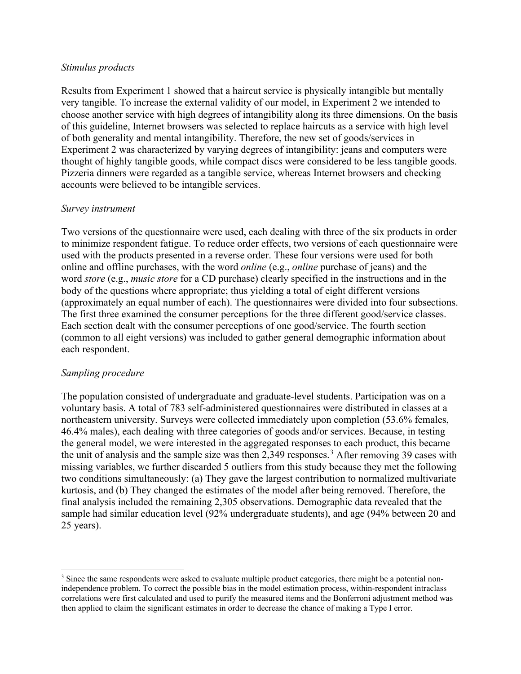### *Stimulus products*

Results from Experiment 1 showed that a haircut service is physically intangible but mentally very tangible. To increase the external validity of our model, in Experiment 2 we intended to choose another service with high degrees of intangibility along its three dimensions. On the basis of this guideline, Internet browsers was selected to replace haircuts as a service with high level of both generality and mental intangibility. Therefore, the new set of goods/services in Experiment 2 was characterized by varying degrees of intangibility: jeans and computers were thought of highly tangible goods, while compact discs were considered to be less tangible goods. Pizzeria dinners were regarded as a tangible service, whereas Internet browsers and checking accounts were believed to be intangible services.

### *Survey instrument*

Two versions of the questionnaire were used, each dealing with three of the six products in order to minimize respondent fatigue. To reduce order effects, two versions of each questionnaire were used with the products presented in a reverse order. These four versions were used for both online and offline purchases, with the word *online* (e.g., *online* purchase of jeans) and the word *store* (e.g., *music store* for a CD purchase) clearly specified in the instructions and in the body of the questions where appropriate; thus yielding a total of eight different versions (approximately an equal number of each). The questionnaires were divided into four subsections. The first three examined the consumer perceptions for the three different good/service classes. Each section dealt with the consumer perceptions of one good/service. The fourth section (common to all eight versions) was included to gather general demographic information about each respondent.

### *Sampling procedure*

The population consisted of undergraduate and graduate-level students. Participation was on a voluntary basis. A total of 783 self-administered questionnaires were distributed in classes at a northeastern university. Surveys were collected immediately upon completion (53.6% females, 46.4% males), each dealing with three categories of goods and/or services. Because, in testing the general model, we were interested in the aggregated responses to each product, this became the unit of analysis and the sample size was then  $2,349$  $2,349$  $2,349$  responses.<sup>3</sup> After removing 39 cases with missing variables, we further discarded 5 outliers from this study because they met the following two conditions simultaneously: (a) They gave the largest contribution to normalized multivariate kurtosis, and (b) They changed the estimates of the model after being removed. Therefore, the final analysis included the remaining 2,305 observations. Demographic data revealed that the sample had similar education level (92% undergraduate students), and age (94% between 20 and 25 years).

<span id="page-11-0"></span><sup>&</sup>lt;sup>3</sup> Since the same respondents were asked to evaluate multiple product categories, there might be a potential nonindependence problem. To correct the possible bias in the model estimation process, within-respondent intraclass correlations were first calculated and used to purify the measured items and the Bonferroni adjustment method was then applied to claim the significant estimates in order to decrease the chance of making a Type I error.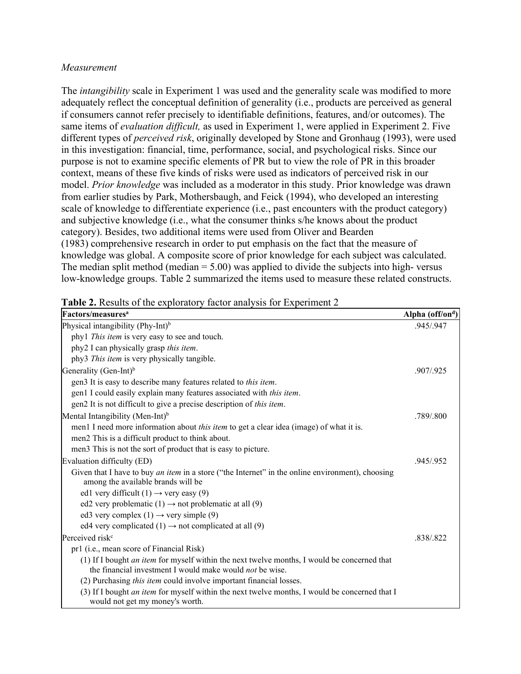### *Measurement*

The *intangibility* scale in Experiment 1 was used and the generality scale was modified to more adequately reflect the conceptual definition of generality (i.e., products are perceived as general if consumers cannot refer precisely to identifiable definitions, features, and/or outcomes). The same items of *evaluation difficult,* as used in Experiment 1, were applied in Experiment 2. Five different types of *perceived risk*, originally developed by Stone and Gronhaug (1993), were used in this investigation: financial, time, performance, social, and psychological risks. Since our purpose is not to examine specific elements of PR but to view the role of PR in this broader context, means of these five kinds of risks were used as indicators of perceived risk in our model. *Prior knowledge* was included as a moderator in this study. Prior knowledge was drawn from earlier studies by Park, Mothersbaugh, and Feick (1994), who developed an interesting scale of knowledge to differentiate experience (i.e., past encounters with the product category) and subjective knowledge (i.e., what the consumer thinks s/he knows about the product category). Besides, two additional items were used from Oliver and Bearden (1983) comprehensive research in order to put emphasis on the fact that the measure of knowledge was global. A composite score of prior knowledge for each subject was calculated. The median split method (median  $= 5.00$ ) was applied to divide the subjects into high-versus low-knowledge groups. Table 2 summarized the items used to measure these related constructs.

| Factors/measures <sup>a</sup>                                                                                                                                  | Alpha ( $off$ /on <sup>d</sup> ) |
|----------------------------------------------------------------------------------------------------------------------------------------------------------------|----------------------------------|
| Physical intangibility (Phy-Int) <sup>b</sup>                                                                                                                  | .945/.947                        |
| phyl This item is very easy to see and touch.                                                                                                                  |                                  |
| phy2 I can physically grasp this item.                                                                                                                         |                                  |
| phy3 This item is very physically tangible.                                                                                                                    |                                  |
| Generality (Gen-Int) <sup>b</sup>                                                                                                                              | .907/.925                        |
| gen3 It is easy to describe many features related to this item.                                                                                                |                                  |
| gen1 I could easily explain many features associated with this item.                                                                                           |                                  |
| gen2 It is not difficult to give a precise description of this item.                                                                                           |                                  |
| Mental Intangibility (Men-Int) <sup>b</sup>                                                                                                                    | .789/.800                        |
| men1 I need more information about <i>this item</i> to get a clear idea (image) of what it is.                                                                 |                                  |
| men2 This is a difficult product to think about.                                                                                                               |                                  |
| men3 This is not the sort of product that is easy to picture.                                                                                                  |                                  |
| Evaluation difficulty (ED)                                                                                                                                     | .945/.952                        |
| Given that I have to buy <i>an item</i> in a store ("the Internet" in the online environment), choosing<br>among the available brands will be                  |                                  |
| ed1 very difficult $(1) \rightarrow$ very easy $(9)$                                                                                                           |                                  |
| ed2 very problematic $(1) \rightarrow$ not problematic at all $(9)$                                                                                            |                                  |
| ed3 very complex $(1) \rightarrow$ very simple $(9)$                                                                                                           |                                  |
| ed4 very complicated $(1) \rightarrow$ not complicated at all $(9)$                                                                                            |                                  |
| Perceived risk <sup>c</sup>                                                                                                                                    | .838/.822                        |
| pr1 (i.e., mean score of Financial Risk)                                                                                                                       |                                  |
| (1) If I bought an item for myself within the next twelve months, I would be concerned that<br>the financial investment I would make would <i>not</i> be wise. |                                  |
| (2) Purchasing this item could involve important financial losses.                                                                                             |                                  |
| (3) If I bought an item for myself within the next twelve months, I would be concerned that I<br>would not get my money's worth.                               |                                  |

|  |  |  |  |  |  |  | <b>Table 2.</b> Results of the exploratory factor analysis for Experiment 2 |
|--|--|--|--|--|--|--|-----------------------------------------------------------------------------|
|--|--|--|--|--|--|--|-----------------------------------------------------------------------------|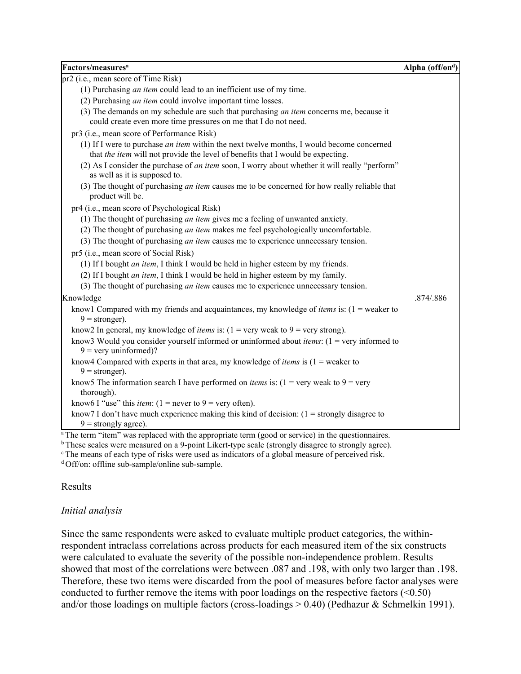| Factors/measures <sup>a</sup>                                                                                                                                                       | Alpha ( $off/ond$ ) |
|-------------------------------------------------------------------------------------------------------------------------------------------------------------------------------------|---------------------|
| pr2 (i.e., mean score of Time Risk)                                                                                                                                                 |                     |
| (1) Purchasing an item could lead to an inefficient use of my time.                                                                                                                 |                     |
| (2) Purchasing an item could involve important time losses.                                                                                                                         |                     |
| (3) The demands on my schedule are such that purchasing an item concerns me, because it<br>could create even more time pressures on me that I do not need.                          |                     |
| pr3 (i.e., mean score of Performance Risk)                                                                                                                                          |                     |
| (1) If I were to purchase <i>an item</i> within the next twelve months, I would become concerned<br>that the item will not provide the level of benefits that I would be expecting. |                     |
| (2) As I consider the purchase of an item soon, I worry about whether it will really "perform"<br>as well as it is supposed to.                                                     |                     |
| (3) The thought of purchasing an item causes me to be concerned for how really reliable that<br>product will be.                                                                    |                     |
| pr4 (i.e., mean score of Psychological Risk)                                                                                                                                        |                     |
| (1) The thought of purchasing an item gives me a feeling of unwanted anxiety.                                                                                                       |                     |
| (2) The thought of purchasing an item makes me feel psychologically uncomfortable.                                                                                                  |                     |
| (3) The thought of purchasing an item causes me to experience unnecessary tension.                                                                                                  |                     |
| pr5 (i.e., mean score of Social Risk)                                                                                                                                               |                     |
| (1) If I bought an item, I think I would be held in higher esteem by my friends.                                                                                                    |                     |
| (2) If I bought an item, I think I would be held in higher esteem by my family.                                                                                                     |                     |
| (3) The thought of purchasing an item causes me to experience unnecessary tension.                                                                                                  |                     |
| Knowledge                                                                                                                                                                           | .874/.886           |
| knowl Compared with my friends and acquaintances, my knowledge of <i>items</i> is: $(1 = \text{ weaker to})$<br>$9 =$ stronger).                                                    |                     |
| know2 In general, my knowledge of <i>items</i> is: $(1 = \text{very weak to } 9 = \text{very strong}).$                                                                             |                     |
| know3 Would you consider yourself informed or uninformed about <i>items</i> : $(1 = \text{very informed to}$<br>$9 =$ very uninformed)?                                             |                     |
| know4 Compared with experts in that area, my knowledge of <i>items</i> is $(1 = \text{ weaker to})$<br>$9 =$ stronger).                                                             |                     |
| know5 The information search I have performed on <i>items</i> is: $(1 = \text{very weak to } 9 = \text{very})$<br>thorough).                                                        |                     |
| know6 I "use" this <i>item</i> : $(1 =$ never to $9 =$ very often).                                                                                                                 |                     |
| know $7 \text{ I}$ don't have much experience making this kind of decision: $(1 = \text{strongly disagree to})$<br>$9 =$ strongly agree).                                           |                     |
| <sup>a</sup> The term "item" was replaced with the appropriate term (good or service) in the questionnaires.                                                                        |                     |

<sup>b</sup> These scales were measured on a 9-point Likert-type scale (strongly disagree to strongly agree).

<sup>c</sup> The means of each type of risks were used as indicators of a global measure of perceived risk.

<sup>d</sup> Off/on: offline sub-sample/online sub-sample.

## Results

# *Initial analysis*

Since the same respondents were asked to evaluate multiple product categories, the withinrespondent intraclass correlations across products for each measured item of the six constructs were calculated to evaluate the severity of the possible non-independence problem. Results showed that most of the correlations were between .087 and .198, with only two larger than .198. Therefore, these two items were discarded from the pool of measures before factor analyses were conducted to further remove the items with poor loadings on the respective factors  $(\leq 0.50)$ and/or those loadings on multiple factors (cross-loadings > 0.40) (Pedhazur & Schmelkin 1991).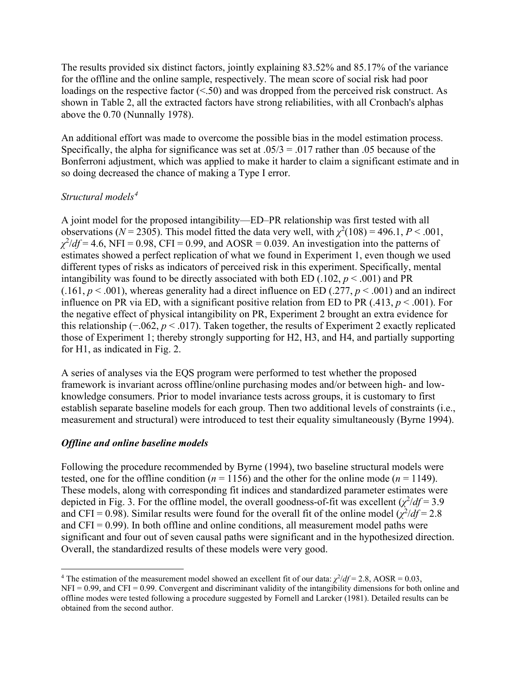The results provided six distinct factors, jointly explaining 83.52% and 85.17% of the variance for the offline and the online sample, respectively. The mean score of social risk had poor loadings on the respective factor  $\leq 50$ ) and was dropped from the perceived risk construct. As shown in Table 2, all the extracted factors have strong reliabilities, with all Cronbach's alphas above the 0.70 (Nunnally 1978).

An additional effort was made to overcome the possible bias in the model estimation process. Specifically, the alpha for significance was set at  $.05/3 = .017$  rather than  $.05$  because of the Bonferroni adjustment, which was applied to make it harder to claim a significant estimate and in so doing decreased the chance of making a Type I error.

### *Structural models[4](#page-14-0)*

A joint model for the proposed intangibility—ED–PR relationship was first tested with all observations ( $N = 2305$ ). This model fitted the data very well, with  $\chi^2(108) = 496.1$ ,  $P < .001$ ,  $\chi^2/df = 4.6$ , NFI = 0.98, CFI = 0.99, and AOSR = 0.039. An investigation into the patterns of estimates showed a perfect replication of what we found in Experiment 1, even though we used different types of risks as indicators of perceived risk in this experiment. Specifically, mental intangibility was found to be directly associated with both ED  $(.102, p < .001)$  and PR  $(0.161, p \le 0.001)$ , whereas generality had a direct influence on ED (.277,  $p \le 0.001$ ) and an indirect influence on PR via ED, with a significant positive relation from ED to PR  $(.413, p < .001)$ . For the negative effect of physical intangibility on PR, Experiment 2 brought an extra evidence for this relationship (−.062, *p* < .017). Taken together, the results of Experiment 2 exactly replicated those of Experiment 1; thereby strongly supporting for H2, H3, and H4, and partially supporting for H1, as indicated in Fig. 2.

A series of analyses via the EQS program were performed to test whether the proposed framework is invariant across offline/online purchasing modes and/or between high- and lowknowledge consumers. Prior to model invariance tests across groups, it is customary to first establish separate baseline models for each group. Then two additional levels of constraints (i.e., measurement and structural) were introduced to test their equality simultaneously (Byrne 1994).

### *Offline and online baseline models*

Following the procedure recommended by Byrne (1994), two baseline structural models were tested, one for the offline condition ( $n = 1156$ ) and the other for the online mode ( $n = 1149$ ). These models, along with corresponding fit indices and standardized parameter estimates were depicted in Fig. 3. For the offline model, the overall goodness-of-fit was excellent  $(\chi^2/df = 3.9)$ and CFI = 0.98). Similar results were found for the overall fit of the online model  $(\chi^2/df = 2.8)$ and  $CFI = 0.99$ ). In both offline and online conditions, all measurement model paths were significant and four out of seven causal paths were significant and in the hypothesized direction. Overall, the standardized results of these models were very good.

<sup>&</sup>lt;sup>4</sup> The estimation of the measurement model showed an excellent fit of our data:  $\chi^2/df = 2.8$ , AOSR = 0.03,

<span id="page-14-0"></span> $NFI = 0.99$ , and  $CFI = 0.99$ . Convergent and discriminant validity of the intangibility dimensions for both online and offline modes were tested following a procedure suggested by Fornell and Larcker (1981). Detailed results can be obtained from the second author.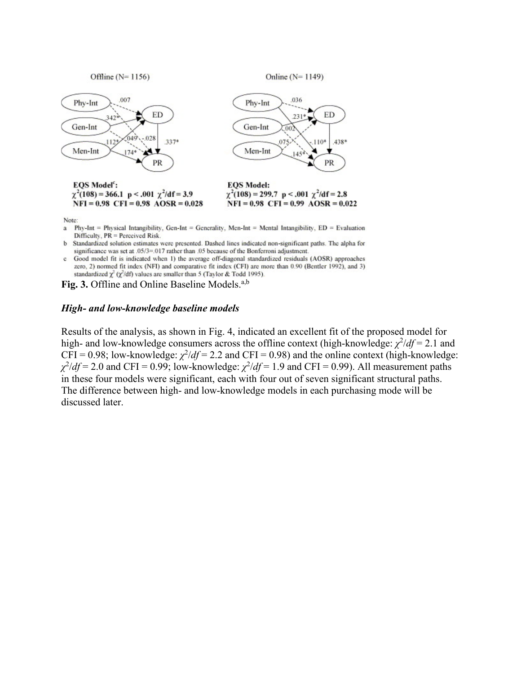Offline ( $N=1156$ )

Online ( $N = 1149$ )



**EQS Model<sup>c</sup>**:  $\chi^2(108) = 366.1 \text{ p} < .001 \chi^2/\text{df} = 3.9$  $NFI = 0.98$  CFI = 0.98  $AOSR = 0.028$ 



**EQS Model:**  $\chi^2(108) = 299.7 \text{ p} < .001 \chi^2/\text{df} = 2.8$  $NFI = 0.98$  CFI = 0.99  $AOSR = 0.022$ 

Note:

- Phy-Int = Physical Intangibility, Gen-Int = Generality, Men-Int = Mental Intangibility, ED = Evaluation a Difficulty, PR = Perceived Risk.
- Standardized solution estimates were presented. Dashed lines indicated non-significant paths. The alpha for b significance was set at .05/3=.017 rather than .05 because of the Bonferroni adjustment.
- Good model fit is indicated when 1) the average off-diagonal standardized residuals (AOSR) approaches  $\mathbf c$ zero, 2) normed fit index (NFI) and comparative fit index (CFI) are more than 0.90 (Bentler 1992), and 3) standardized  $\chi^2$  ( $\chi^2$ /df) values are smaller than 5 (Taylor & Todd 1995).

Fig. 3. Offline and Online Baseline Models.<sup>a,b</sup>

#### *High- and low-knowledge baseline models*

Results of the analysis, as shown in Fig. 4, indicated an excellent fit of the proposed model for high- and low-knowledge consumers across the offline context (high-knowledge:  $\chi^2/df = 2.1$  and  $CFI = 0.98$ ; low-knowledge:  $\chi^2/df = 2.2$  and  $CFI = 0.98$ ) and the online context (high-knowledge:  $\chi^2/df = 2.0$  and CFI = 0.99; low-knowledge:  $\chi^2/df = 1.9$  and CFI = 0.99). All measurement paths in these four models were significant, each with four out of seven significant structural paths. The difference between high- and low-knowledge models in each purchasing mode will be discussed later.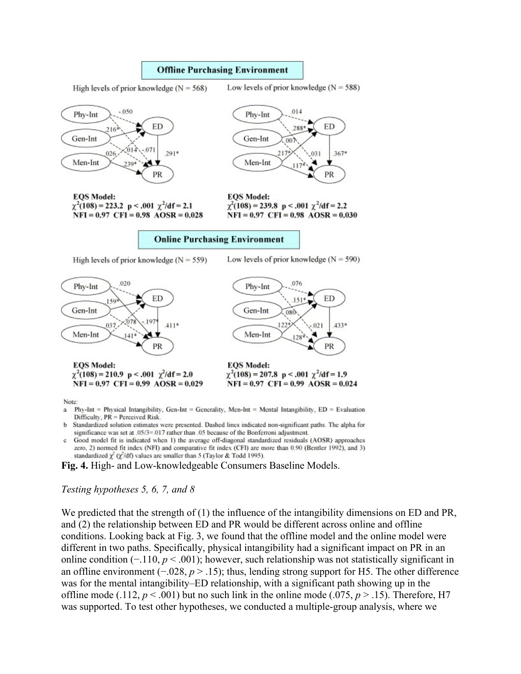### **Offline Purchasing Environment**

High levels of prior knowledge ( $N = 568$ )





Low levels of prior knowledge ( $N = 588$ )

**EQS Model:**  $\chi^2(108) = 223.2 \text{ p} < .001 \chi^2/\text{df} = 2.1$  $NFI = 0.97 CFI = 0.98 AOSR = 0.028$  **EQS Model:**  $\chi^2(108) = 239.8 \text{ p} < .001 \chi^2/\text{df} = 2.2$  $NFI = 0.97$  CFI = 0.98  $AOSR = 0.030$ 

#### **Online Purchasing Environment**

High levels of prior knowledge ( $N = 559$ )

020 Phy-Int ED Gen-Int  $411*$ Men-Int PR



Low levels of prior knowledge ( $N = 590$ )

076

Phy-Int

**EQS Model:**  $\chi^2(108) = 210.9 \text{ p} < .001 \text{ \chi}^2/\text{df} = 2.0$  $NFI = 0.97 CFI = 0.99 AOSR = 0.029$ 

 $\chi^2(108) = 207.8 \text{ p} < .001 \chi^2/\text{df} = 1.9$  $NFI = 0.97$  CFI = 0.99  $AOSR = 0.024$ 

Note:

Phy-Int = Physical Intangibility, Gen-Int = Generality, Men-Int = Mental Intangibility,  $ED = Evaluation$  $\mathbf{a}$ Difficulty, PR = Perceived Risk.

Standardized solution estimates were presented. Dashed lines indicated non-significant paths. The alpha for significance was set at .05/3=.017 rather than .05 because of the Bonferroni adjustment.

Good model fit is indicated when 1) the average off-diagonal standardized residuals (AOSR) approaches zero, 2) normed fit index (NFI) and comparative fit index (CFI) are more than 0.90 (Bentler 1992), and 3) standardized  $\chi^2$  ( $\chi^2$ /df) values are smaller than 5 (Taylor & Todd 1995).

**Fig. 4.** High- and Low-knowledgeable Consumers Baseline Models.

#### *Testing hypotheses 5, 6, 7, and 8*

We predicted that the strength of (1) the influence of the intangibility dimensions on ED and PR, and (2) the relationship between ED and PR would be different across online and offline conditions. Looking back at Fig. 3, we found that the offline model and the online model were different in two paths. Specifically, physical intangibility had a significant impact on PR in an online condition (−.110, *p* < .001); however, such relationship was not statistically significant in an offline environment (−.028, *p* > .15); thus, lending strong support for H5. The other difference was for the mental intangibility–ED relationship, with a significant path showing up in the offline mode (.112,  $p < .001$ ) but no such link in the online mode (.075,  $p > .15$ ). Therefore, H7 was supported. To test other hypotheses, we conducted a multiple-group analysis, where we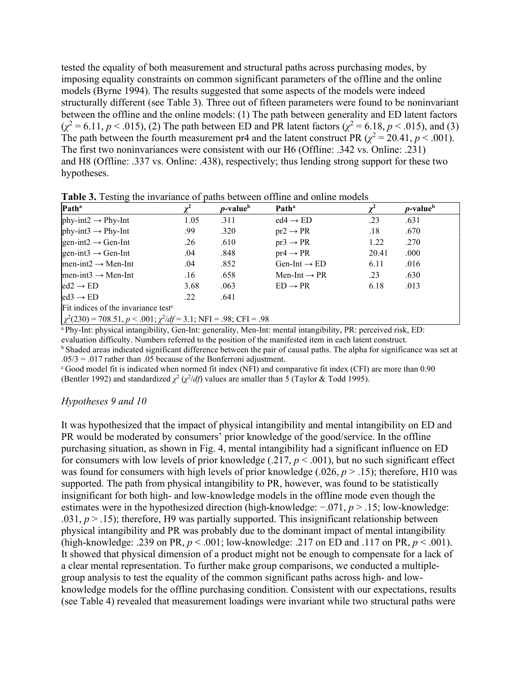tested the equality of both measurement and structural paths across purchasing modes, by imposing equality constraints on common significant parameters of the offline and the online models (Byrne 1994). The results suggested that some aspects of the models were indeed structurally different (see Table 3). Three out of fifteen parameters were found to be noninvariant between the offline and the online models: (1) The path between generality and ED latent factors  $(\chi^2 = 6.11, p < .015)$ , (2) The path between ED and PR latent factors ( $\chi^2 = 6.18, p < .015)$ , and (3) The path between the fourth measurement pr4 and the latent construct PR ( $\chi^2$  = 20.41, *p* < .001). The first two noninvariances were consistent with our H6 (Offline: .342 vs. Online: .231) and H8 (Offline: .337 vs. Online: .438), respectively; thus lending strong support for these two hypotheses.

| Path <sup>a</sup>                                                                     | $\chi^2$ | $p$ -value <sup>b</sup> | Path <sup>a</sup>        | $\chi^2$ | <i>p</i> -value <sup>b</sup> |  |  |
|---------------------------------------------------------------------------------------|----------|-------------------------|--------------------------|----------|------------------------------|--|--|
| $phy-int2 \rightarrow Phy-Int$                                                        | 1.05     | .311                    | $ed4 \rightarrow ED$     | .23      | .631                         |  |  |
| $phy-int3 \rightarrow Phy-Int$                                                        | .99      | .320                    | $pr2 \rightarrow PR$     | .18      | .670                         |  |  |
| gen-int2 $\rightarrow$ Gen-Int                                                        | .26      | .610                    | $pr3 \rightarrow PR$     | 1.22     | .270                         |  |  |
| gen-int $3 \rightarrow$ Gen-Int                                                       | .04      | .848                    | $pr4 \rightarrow PR$     | 20.41    | .000                         |  |  |
| men-int $2 \rightarrow$ Men-Int                                                       | .04      | .852                    | Gen-Int $\rightarrow$ ED | 6.11     | .016                         |  |  |
| men-int $3 \rightarrow$ Men-Int                                                       | .16      | .658                    | Men-Int $\rightarrow$ PR | .23      | .630                         |  |  |
| $ed2 \rightarrow ED$                                                                  | 3.68     | .063                    | $ED \rightarrow PR$      | 6.18     | .013                         |  |  |
| $ed3 \rightarrow ED$                                                                  | .22      | .641                    |                          |          |                              |  |  |
| Fit indices of the invariance test <sup>c</sup>                                       |          |                         |                          |          |                              |  |  |
| $\chi^2(230) = 708.51, p < .001; \chi^2/df = 3.1; \text{NFI} = .98; \text{CFI} = .98$ |          |                         |                          |          |                              |  |  |

**Table 3.** Testing the invariance of paths between offline and online models

<sup>a</sup> Phy-Int: physical intangibility, Gen-Int: generality, Men-Int: mental intangibility, PR: perceived risk, ED: evaluation difficulty. Numbers referred to the position of the manifested item in each latent construct. <sup>b</sup> Shaded areas indicated significant difference between the pair of causal paths. The alpha for significance was set at  $.05/3 = .017$  rather than 0.05 because of the Bonferroni adjustment.

<sup>c</sup> Good model fit is indicated when normed fit index (NFI) and comparative fit index (CFI) are more than 0.90 (Bentler 1992) and standardized  $\chi^2$  ( $\chi^2$ /*df*) values are smaller than 5 (Taylor & Todd 1995).

### *Hypotheses 9 and 10*

It was hypothesized that the impact of physical intangibility and mental intangibility on ED and PR would be moderated by consumers' prior knowledge of the good/service. In the offline purchasing situation, as shown in Fig. 4, mental intangibility had a significant influence on ED for consumers with low levels of prior knowledge  $(.217, p \le .001)$ , but no such significant effect was found for consumers with high levels of prior knowledge (.026,  $p > 0.15$ ); therefore, H10 was supported. The path from physical intangibility to PR, however, was found to be statistically insignificant for both high- and low-knowledge models in the offline mode even though the estimates were in the hypothesized direction (high-knowledge: −.071, *p* > .15; low-knowledge: .031,  $p > 0.15$ ; therefore, H9 was partially supported. This insignificant relationship between physical intangibility and PR was probably due to the dominant impact of mental intangibility (high-knowledge: .239 on PR, *p* < .001; low-knowledge: .217 on ED and .117 on PR, *p* < .001). It showed that physical dimension of a product might not be enough to compensate for a lack of a clear mental representation. To further make group comparisons, we conducted a multiplegroup analysis to test the equality of the common significant paths across high- and lowknowledge models for the offline purchasing condition. Consistent with our expectations, results (see Table 4) revealed that measurement loadings were invariant while two structural paths were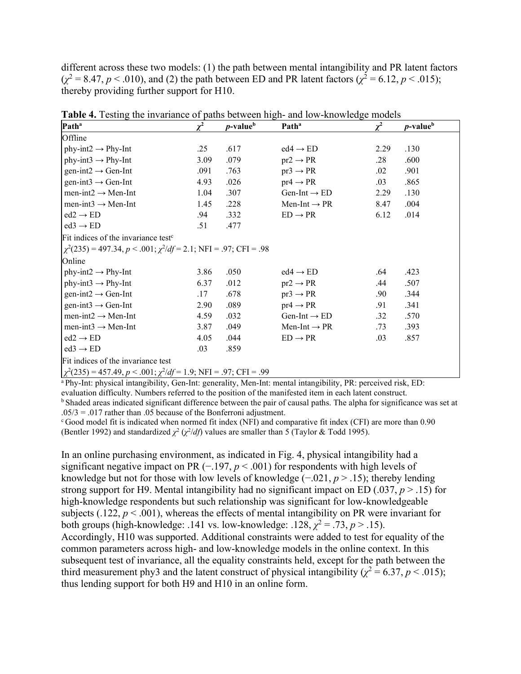different across these two models: (1) the path between mental intangibility and PR latent factors  $(\chi^2 = 8.47, p < .010)$ , and (2) the path between ED and PR latent factors ( $\chi^2 = 6.12, p < .015$ ); thereby providing further support for H10.

| Path <sup>a</sup>                                                                     | $\chi^2$ | $p$ -value $b$ | Path <sup>a</sup>        | $\chi^2$ | <i>p</i> -value <sup>b</sup> |  |  |
|---------------------------------------------------------------------------------------|----------|----------------|--------------------------|----------|------------------------------|--|--|
| Offline                                                                               |          |                |                          |          |                              |  |  |
| $phy-int2 \rightarrow Phy-Int$                                                        | .25      | .617           | $ed4 \rightarrow ED$     | 2.29     | .130                         |  |  |
| $phy-int3 \rightarrow Phy-Int$                                                        | 3.09     | .079           | $pr2 \rightarrow PR$     | .28      | .600                         |  |  |
| gen-int $2 \rightarrow$ Gen-Int                                                       | .091     | .763           | $pr3 \rightarrow PR$     | $.02\,$  | .901                         |  |  |
| $gen-int3 \rightarrow Gen-Int$                                                        | 4.93     | .026           | $pr4 \rightarrow PR$     | .03      | .865                         |  |  |
| men-int $2 \rightarrow$ Men-Int                                                       | 1.04     | .307           | Gen-Int $\rightarrow$ ED | 2.29     | .130                         |  |  |
| men-int $3 \rightarrow$ Men-Int                                                       | 1.45     | .228           | Men-Int $\rightarrow$ PR | 8.47     | .004                         |  |  |
| $ed2 \rightarrow ED$                                                                  | .94      | .332           | $ED \rightarrow PR$      | 6.12     | .014                         |  |  |
| $ed3 \rightarrow ED$                                                                  | .51      | .477           |                          |          |                              |  |  |
| Fit indices of the invariance test <sup>c</sup>                                       |          |                |                          |          |                              |  |  |
| $\chi^2(235) = 497.34, p < .001; \chi^2/df = 2.1; \text{NFI} = .97; \text{CFI} = .98$ |          |                |                          |          |                              |  |  |
| Online                                                                                |          |                |                          |          |                              |  |  |
| $phy-int2 \rightarrow Phy-Int$                                                        | 3.86     | .050           | $ed4 \rightarrow ED$     | .64      | .423                         |  |  |
| $phy-int3 \rightarrow Phy-Int$                                                        | 6.37     | .012           | $pr2 \rightarrow PR$     | .44      | .507                         |  |  |
| gen-int $2 \rightarrow$ Gen-Int                                                       | .17      | .678           | $pr3 \rightarrow PR$     | .90      | .344                         |  |  |
| gen-int $3 \rightarrow$ Gen-Int                                                       | 2.90     | .089           | $pr4 \rightarrow PR$     | .91      | .341                         |  |  |
| men-int $2 \rightarrow$ Men-Int                                                       | 4.59     | .032           | Gen-Int $\rightarrow$ ED | .32      | .570                         |  |  |
| men-int $3 \rightarrow$ Men-Int                                                       | 3.87     | .049           | Men-Int $\rightarrow$ PR | .73      | .393                         |  |  |
| $ed2 \rightarrow ED$                                                                  | 4.05     | .044           | $ED \rightarrow PR$      | .03      | .857                         |  |  |
| $ed3 \rightarrow ED$                                                                  | .03      | .859           |                          |          |                              |  |  |
| Fit indices of the invariance test                                                    |          |                |                          |          |                              |  |  |
| $\chi^2(235) = 457.49, p < .001; \chi^2/df = 1.9; \text{NFI} = .97; \text{CFI} = .99$ |          |                |                          |          |                              |  |  |

**Table 4.** Testing the invariance of paths between high- and low-knowledge models

<sup>a</sup> Phy-Int: physical intangibility, Gen-Int: generality, Men-Int: mental intangibility, PR: perceived risk, ED: evaluation difficulty. Numbers referred to the position of the manifested item in each latent construct. <sup>b</sup> Shaded areas indicated significant difference between the pair of causal paths. The alpha for significance was set at

 $.05/3 = .017$  rather than 0.05 because of the Bonferroni adjustment. <sup>c</sup> Good model fit is indicated when normed fit index (NFI) and comparative fit index (CFI) are more than 0.90 (Bentler 1992) and standardized  $\chi^2$  ( $\chi^2$ /*df*) values are smaller than 5 (Taylor & Todd 1995).

In an online purchasing environment, as indicated in Fig. 4, physical intangibility had a significant negative impact on PR (−.197, *p* < .001) for respondents with high levels of knowledge but not for those with low levels of knowledge (−.021, *p* > .15); thereby lending strong support for H9. Mental intangibility had no significant impact on ED (.037,  $p > .15$ ) for high-knowledge respondents but such relationship was significant for low-knowledgeable subjects  $(.122, p < .001)$ , whereas the effects of mental intangibility on PR were invariant for both groups (high-knowledge: .141 vs. low-knowledge: .128,  $\chi^2 = .73$ ,  $p > .15$ ). Accordingly, H10 was supported. Additional constraints were added to test for equality of the common parameters across high- and low-knowledge models in the online context. In this subsequent test of invariance, all the equality constraints held, except for the path between the third measurement phy3 and the latent construct of physical intangibility ( $\chi^2$  = 6.37, *p* < .015); thus lending support for both H9 and H10 in an online form.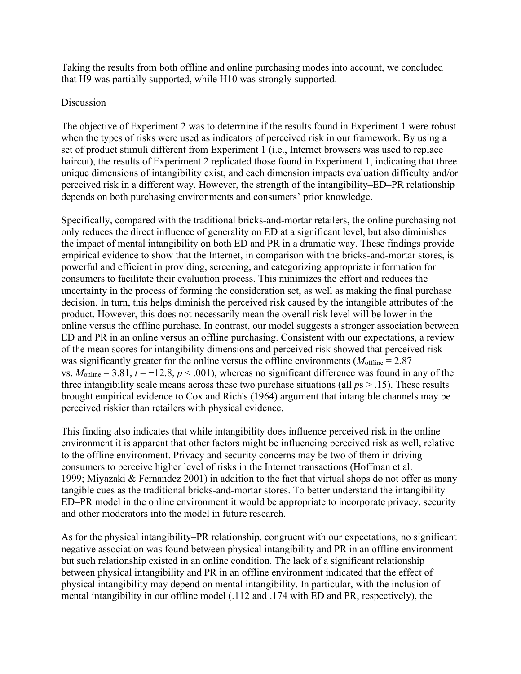Taking the results from both offline and online purchasing modes into account, we concluded that H9 was partially supported, while H10 was strongly supported.

### Discussion

The objective of Experiment 2 was to determine if the results found in Experiment 1 were robust when the types of risks were used as indicators of perceived risk in our framework. By using a set of product stimuli different from Experiment 1 (i.e., Internet browsers was used to replace haircut), the results of Experiment 2 replicated those found in Experiment 1, indicating that three unique dimensions of intangibility exist, and each dimension impacts evaluation difficulty and/or perceived risk in a different way. However, the strength of the intangibility–ED–PR relationship depends on both purchasing environments and consumers' prior knowledge.

Specifically, compared with the traditional bricks-and-mortar retailers, the online purchasing not only reduces the direct influence of generality on ED at a significant level, but also diminishes the impact of mental intangibility on both ED and PR in a dramatic way. These findings provide empirical evidence to show that the Internet, in comparison with the bricks-and-mortar stores, is powerful and efficient in providing, screening, and categorizing appropriate information for consumers to facilitate their evaluation process. This minimizes the effort and reduces the uncertainty in the process of forming the consideration set, as well as making the final purchase decision. In turn, this helps diminish the perceived risk caused by the intangible attributes of the product. However, this does not necessarily mean the overall risk level will be lower in the online versus the offline purchase. In contrast, our model suggests a stronger association between ED and PR in an online versus an offline purchasing. Consistent with our expectations, a review of the mean scores for intangibility dimensions and perceived risk showed that perceived risk was significantly greater for the online versus the offline environments ( $M_{\text{offline}} = 2.87$ ) vs.  $M_{\text{online}} = 3.81$ ,  $t = -12.8$ ,  $p < .001$ ), whereas no significant difference was found in any of the three intangibility scale means across these two purchase situations (all *p*s > .15). These results brought empirical evidence to Cox and Rich's (1964) argument that intangible channels may be perceived riskier than retailers with physical evidence.

This finding also indicates that while intangibility does influence perceived risk in the online environment it is apparent that other factors might be influencing perceived risk as well, relative to the offline environment. Privacy and security concerns may be two of them in driving consumers to perceive higher level of risks in the Internet transactions (Hoffman et al. 1999; Miyazaki & Fernandez 2001) in addition to the fact that virtual shops do not offer as many tangible cues as the traditional bricks-and-mortar stores. To better understand the intangibility– ED–PR model in the online environment it would be appropriate to incorporate privacy, security and other moderators into the model in future research.

As for the physical intangibility–PR relationship, congruent with our expectations, no significant negative association was found between physical intangibility and PR in an offline environment but such relationship existed in an online condition. The lack of a significant relationship between physical intangibility and PR in an offline environment indicated that the effect of physical intangibility may depend on mental intangibility. In particular, with the inclusion of mental intangibility in our offline model (.112 and .174 with ED and PR, respectively), the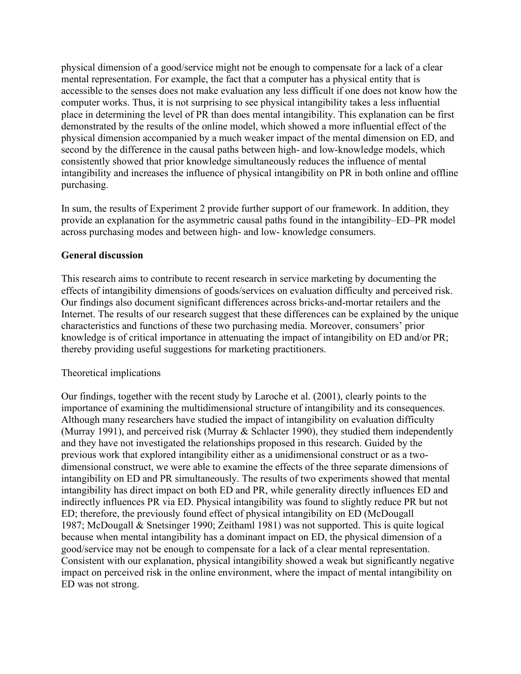physical dimension of a good/service might not be enough to compensate for a lack of a clear mental representation. For example, the fact that a computer has a physical entity that is accessible to the senses does not make evaluation any less difficult if one does not know how the computer works. Thus, it is not surprising to see physical intangibility takes a less influential place in determining the level of PR than does mental intangibility. This explanation can be first demonstrated by the results of the online model, which showed a more influential effect of the physical dimension accompanied by a much weaker impact of the mental dimension on ED, and second by the difference in the causal paths between high- and low-knowledge models, which consistently showed that prior knowledge simultaneously reduces the influence of mental intangibility and increases the influence of physical intangibility on PR in both online and offline purchasing.

In sum, the results of Experiment 2 provide further support of our framework. In addition, they provide an explanation for the asymmetric causal paths found in the intangibility–ED–PR model across purchasing modes and between high- and low- knowledge consumers.

### **General discussion**

This research aims to contribute to recent research in service marketing by documenting the effects of intangibility dimensions of goods/services on evaluation difficulty and perceived risk. Our findings also document significant differences across bricks-and-mortar retailers and the Internet. The results of our research suggest that these differences can be explained by the unique characteristics and functions of these two purchasing media. Moreover, consumers' prior knowledge is of critical importance in attenuating the impact of intangibility on ED and/or PR; thereby providing useful suggestions for marketing practitioners.

### Theoretical implications

Our findings, together with the recent study by Laroche et al. (2001), clearly points to the importance of examining the multidimensional structure of intangibility and its consequences. Although many researchers have studied the impact of intangibility on evaluation difficulty (Murray 1991), and perceived risk (Murray  $&$  Schlacter 1990), they studied them independently and they have not investigated the relationships proposed in this research. Guided by the previous work that explored intangibility either as a unidimensional construct or as a twodimensional construct, we were able to examine the effects of the three separate dimensions of intangibility on ED and PR simultaneously. The results of two experiments showed that mental intangibility has direct impact on both ED and PR, while generality directly influences ED and indirectly influences PR via ED. Physical intangibility was found to slightly reduce PR but not ED; therefore, the previously found effect of physical intangibility on ED (McDougall 1987; McDougall & Snetsinger 1990; Zeithaml 1981) was not supported. This is quite logical because when mental intangibility has a dominant impact on ED, the physical dimension of a good/service may not be enough to compensate for a lack of a clear mental representation. Consistent with our explanation, physical intangibility showed a weak but significantly negative impact on perceived risk in the online environment, where the impact of mental intangibility on ED was not strong.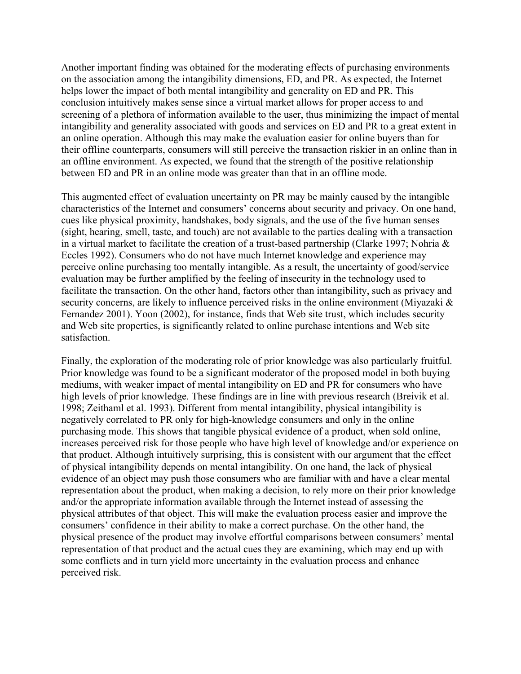Another important finding was obtained for the moderating effects of purchasing environments on the association among the intangibility dimensions, ED, and PR. As expected, the Internet helps lower the impact of both mental intangibility and generality on ED and PR. This conclusion intuitively makes sense since a virtual market allows for proper access to and screening of a plethora of information available to the user, thus minimizing the impact of mental intangibility and generality associated with goods and services on ED and PR to a great extent in an online operation. Although this may make the evaluation easier for online buyers than for their offline counterparts, consumers will still perceive the transaction riskier in an online than in an offline environment. As expected, we found that the strength of the positive relationship between ED and PR in an online mode was greater than that in an offline mode.

This augmented effect of evaluation uncertainty on PR may be mainly caused by the intangible characteristics of the Internet and consumers' concerns about security and privacy. On one hand, cues like physical proximity, handshakes, body signals, and the use of the five human senses (sight, hearing, smell, taste, and touch) are not available to the parties dealing with a transaction in a virtual market to facilitate the creation of a trust-based partnership (Clarke 1997; Nohria & Eccles 1992). Consumers who do not have much Internet knowledge and experience may perceive online purchasing too mentally intangible. As a result, the uncertainty of good/service evaluation may be further amplified by the feeling of insecurity in the technology used to facilitate the transaction. On the other hand, factors other than intangibility, such as privacy and security concerns, are likely to influence perceived risks in the online environment (Miyazaki & Fernandez 2001). Yoon (2002), for instance, finds that Web site trust, which includes security and Web site properties, is significantly related to online purchase intentions and Web site satisfaction.

Finally, the exploration of the moderating role of prior knowledge was also particularly fruitful. Prior knowledge was found to be a significant moderator of the proposed model in both buying mediums, with weaker impact of mental intangibility on ED and PR for consumers who have high levels of prior knowledge. These findings are in line with previous research (Breivik et al. 1998; Zeithaml et al. 1993). Different from mental intangibility, physical intangibility is negatively correlated to PR only for high-knowledge consumers and only in the online purchasing mode. This shows that tangible physical evidence of a product, when sold online, increases perceived risk for those people who have high level of knowledge and/or experience on that product. Although intuitively surprising, this is consistent with our argument that the effect of physical intangibility depends on mental intangibility. On one hand, the lack of physical evidence of an object may push those consumers who are familiar with and have a clear mental representation about the product, when making a decision, to rely more on their prior knowledge and/or the appropriate information available through the Internet instead of assessing the physical attributes of that object. This will make the evaluation process easier and improve the consumers' confidence in their ability to make a correct purchase. On the other hand, the physical presence of the product may involve effortful comparisons between consumers' mental representation of that product and the actual cues they are examining, which may end up with some conflicts and in turn yield more uncertainty in the evaluation process and enhance perceived risk.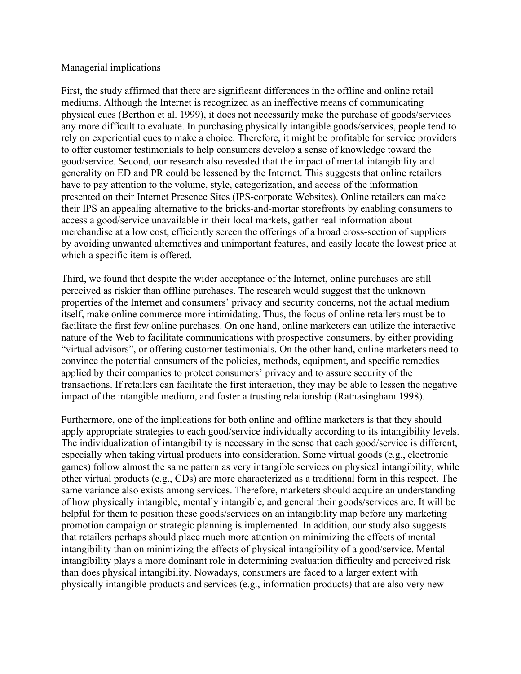### Managerial implications

First, the study affirmed that there are significant differences in the offline and online retail mediums. Although the Internet is recognized as an ineffective means of communicating physical cues (Berthon et al. 1999), it does not necessarily make the purchase of goods/services any more difficult to evaluate. In purchasing physically intangible goods/services, people tend to rely on experiential cues to make a choice. Therefore, it might be profitable for service providers to offer customer testimonials to help consumers develop a sense of knowledge toward the good/service. Second, our research also revealed that the impact of mental intangibility and generality on ED and PR could be lessened by the Internet. This suggests that online retailers have to pay attention to the volume, style, categorization, and access of the information presented on their Internet Presence Sites (IPS-corporate Websites). Online retailers can make their IPS an appealing alternative to the bricks-and-mortar storefronts by enabling consumers to access a good/service unavailable in their local markets, gather real information about merchandise at a low cost, efficiently screen the offerings of a broad cross-section of suppliers by avoiding unwanted alternatives and unimportant features, and easily locate the lowest price at which a specific item is offered.

Third, we found that despite the wider acceptance of the Internet, online purchases are still perceived as riskier than offline purchases. The research would suggest that the unknown properties of the Internet and consumers' privacy and security concerns, not the actual medium itself, make online commerce more intimidating. Thus, the focus of online retailers must be to facilitate the first few online purchases. On one hand, online marketers can utilize the interactive nature of the Web to facilitate communications with prospective consumers, by either providing "virtual advisors", or offering customer testimonials. On the other hand, online marketers need to convince the potential consumers of the policies, methods, equipment, and specific remedies applied by their companies to protect consumers' privacy and to assure security of the transactions. If retailers can facilitate the first interaction, they may be able to lessen the negative impact of the intangible medium, and foster a trusting relationship (Ratnasingham 1998).

Furthermore, one of the implications for both online and offline marketers is that they should apply appropriate strategies to each good/service individually according to its intangibility levels. The individualization of intangibility is necessary in the sense that each good/service is different, especially when taking virtual products into consideration. Some virtual goods (e.g., electronic games) follow almost the same pattern as very intangible services on physical intangibility, while other virtual products (e.g., CDs) are more characterized as a traditional form in this respect. The same variance also exists among services. Therefore, marketers should acquire an understanding of how physically intangible, mentally intangible, and general their goods/services are. It will be helpful for them to position these goods/services on an intangibility map before any marketing promotion campaign or strategic planning is implemented. In addition, our study also suggests that retailers perhaps should place much more attention on minimizing the effects of mental intangibility than on minimizing the effects of physical intangibility of a good/service. Mental intangibility plays a more dominant role in determining evaluation difficulty and perceived risk than does physical intangibility. Nowadays, consumers are faced to a larger extent with physically intangible products and services (e.g., information products) that are also very new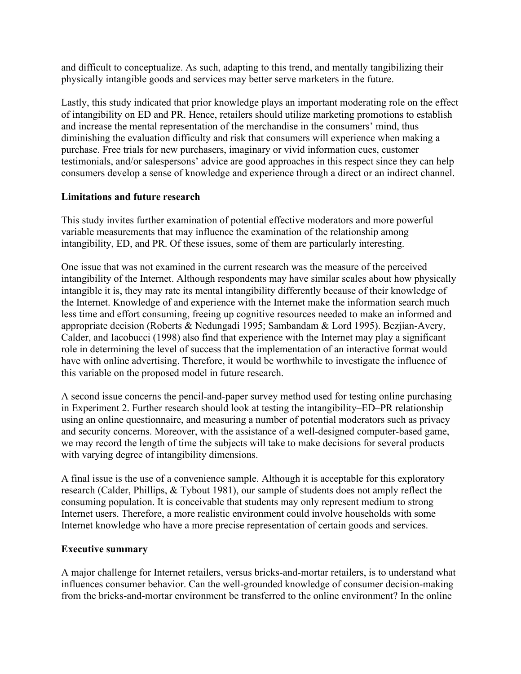and difficult to conceptualize. As such, adapting to this trend, and mentally tangibilizing their physically intangible goods and services may better serve marketers in the future.

Lastly, this study indicated that prior knowledge plays an important moderating role on the effect of intangibility on ED and PR. Hence, retailers should utilize marketing promotions to establish and increase the mental representation of the merchandise in the consumers' mind, thus diminishing the evaluation difficulty and risk that consumers will experience when making a purchase. Free trials for new purchasers, imaginary or vivid information cues, customer testimonials, and/or salespersons' advice are good approaches in this respect since they can help consumers develop a sense of knowledge and experience through a direct or an indirect channel.

### **Limitations and future research**

This study invites further examination of potential effective moderators and more powerful variable measurements that may influence the examination of the relationship among intangibility, ED, and PR. Of these issues, some of them are particularly interesting.

One issue that was not examined in the current research was the measure of the perceived intangibility of the Internet. Although respondents may have similar scales about how physically intangible it is, they may rate its mental intangibility differently because of their knowledge of the Internet. Knowledge of and experience with the Internet make the information search much less time and effort consuming, freeing up cognitive resources needed to make an informed and appropriate decision (Roberts & Nedungadi 1995; Sambandam & Lord 1995). Bezjian-Avery, Calder, and Iacobucci (1998) also find that experience with the Internet may play a significant role in determining the level of success that the implementation of an interactive format would have with online advertising. Therefore, it would be worthwhile to investigate the influence of this variable on the proposed model in future research.

A second issue concerns the pencil-and-paper survey method used for testing online purchasing in Experiment 2. Further research should look at testing the intangibility–ED–PR relationship using an online questionnaire, and measuring a number of potential moderators such as privacy and security concerns. Moreover, with the assistance of a well-designed computer-based game, we may record the length of time the subjects will take to make decisions for several products with varying degree of intangibility dimensions.

A final issue is the use of a convenience sample. Although it is acceptable for this exploratory research (Calder, Phillips, & Tybout 1981), our sample of students does not amply reflect the consuming population. It is conceivable that students may only represent medium to strong Internet users. Therefore, a more realistic environment could involve households with some Internet knowledge who have a more precise representation of certain goods and services.

### **Executive summary**

A major challenge for Internet retailers, versus bricks-and-mortar retailers, is to understand what influences consumer behavior. Can the well-grounded knowledge of consumer decision-making from the bricks-and-mortar environment be transferred to the online environment? In the online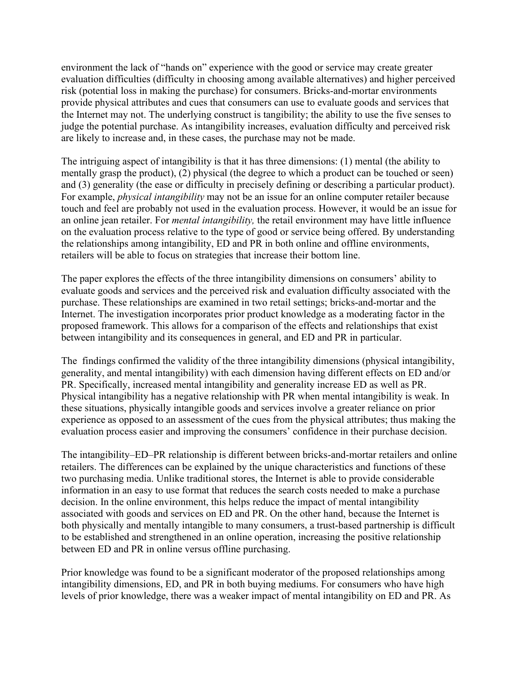environment the lack of "hands on" experience with the good or service may create greater evaluation difficulties (difficulty in choosing among available alternatives) and higher perceived risk (potential loss in making the purchase) for consumers. Bricks-and-mortar environments provide physical attributes and cues that consumers can use to evaluate goods and services that the Internet may not. The underlying construct is tangibility; the ability to use the five senses to judge the potential purchase. As intangibility increases, evaluation difficulty and perceived risk are likely to increase and, in these cases, the purchase may not be made.

The intriguing aspect of intangibility is that it has three dimensions: (1) mental (the ability to mentally grasp the product), (2) physical (the degree to which a product can be touched or seen) and (3) generality (the ease or difficulty in precisely defining or describing a particular product). For example, *physical intangibility* may not be an issue for an online computer retailer because touch and feel are probably not used in the evaluation process. However, it would be an issue for an online jean retailer. For *mental intangibility,* the retail environment may have little influence on the evaluation process relative to the type of good or service being offered. By understanding the relationships among intangibility, ED and PR in both online and offline environments, retailers will be able to focus on strategies that increase their bottom line.

The paper explores the effects of the three intangibility dimensions on consumers' ability to evaluate goods and services and the perceived risk and evaluation difficulty associated with the purchase. These relationships are examined in two retail settings; bricks-and-mortar and the Internet. The investigation incorporates prior product knowledge as a moderating factor in the proposed framework. This allows for a comparison of the effects and relationships that exist between intangibility and its consequences in general, and ED and PR in particular.

The findings confirmed the validity of the three intangibility dimensions (physical intangibility, generality, and mental intangibility) with each dimension having different effects on ED and/or PR. Specifically, increased mental intangibility and generality increase ED as well as PR. Physical intangibility has a negative relationship with PR when mental intangibility is weak. In these situations, physically intangible goods and services involve a greater reliance on prior experience as opposed to an assessment of the cues from the physical attributes; thus making the evaluation process easier and improving the consumers' confidence in their purchase decision.

The intangibility–ED–PR relationship is different between bricks-and-mortar retailers and online retailers. The differences can be explained by the unique characteristics and functions of these two purchasing media. Unlike traditional stores, the Internet is able to provide considerable information in an easy to use format that reduces the search costs needed to make a purchase decision. In the online environment, this helps reduce the impact of mental intangibility associated with goods and services on ED and PR. On the other hand, because the Internet is both physically and mentally intangible to many consumers, a trust-based partnership is difficult to be established and strengthened in an online operation, increasing the positive relationship between ED and PR in online versus offline purchasing.

Prior knowledge was found to be a significant moderator of the proposed relationships among intangibility dimensions, ED, and PR in both buying mediums. For consumers who have high levels of prior knowledge, there was a weaker impact of mental intangibility on ED and PR. As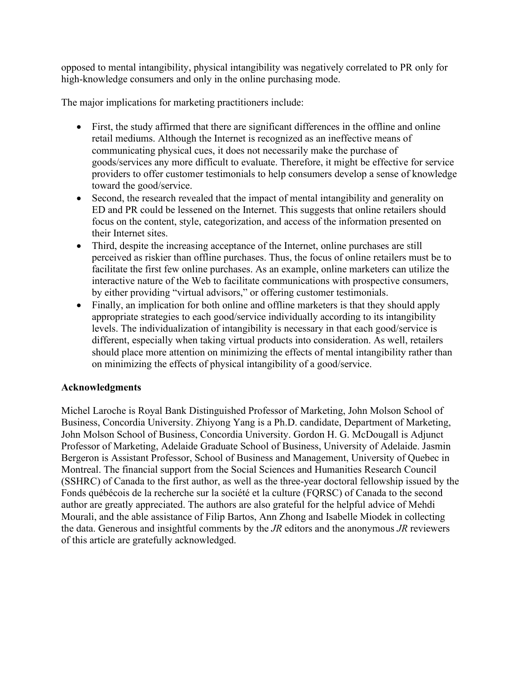opposed to mental intangibility, physical intangibility was negatively correlated to PR only for high-knowledge consumers and only in the online purchasing mode.

The major implications for marketing practitioners include:

- First, the study affirmed that there are significant differences in the offline and online retail mediums. Although the Internet is recognized as an ineffective means of communicating physical cues, it does not necessarily make the purchase of goods/services any more difficult to evaluate. Therefore, it might be effective for service providers to offer customer testimonials to help consumers develop a sense of knowledge toward the good/service.
- Second, the research revealed that the impact of mental intangibility and generality on ED and PR could be lessened on the Internet. This suggests that online retailers should focus on the content, style, categorization, and access of the information presented on their Internet sites.
- Third, despite the increasing acceptance of the Internet, online purchases are still perceived as riskier than offline purchases. Thus, the focus of online retailers must be to facilitate the first few online purchases. As an example, online marketers can utilize the interactive nature of the Web to facilitate communications with prospective consumers, by either providing "virtual advisors," or offering customer testimonials.
- Finally, an implication for both online and offline marketers is that they should apply appropriate strategies to each good/service individually according to its intangibility levels. The individualization of intangibility is necessary in that each good/service is different, especially when taking virtual products into consideration. As well, retailers should place more attention on minimizing the effects of mental intangibility rather than on minimizing the effects of physical intangibility of a good/service.

## **Acknowledgments**

Michel Laroche is Royal Bank Distinguished Professor of Marketing, John Molson School of Business, Concordia University. Zhiyong Yang is a Ph.D. candidate, Department of Marketing, John Molson School of Business, Concordia University. Gordon H. G. McDougall is Adjunct Professor of Marketing, Adelaide Graduate School of Business, University of Adelaide. Jasmin Bergeron is Assistant Professor, School of Business and Management, University of Quebec in Montreal. The financial support from the Social Sciences and Humanities Research Council (SSHRC) of Canada to the first author, as well as the three-year doctoral fellowship issued by the Fonds québécois de la recherche sur la société et la culture (FQRSC) of Canada to the second author are greatly appreciated. The authors are also grateful for the helpful advice of Mehdi Mourali, and the able assistance of Filip Bartos, Ann Zhong and Isabelle Miodek in collecting the data. Generous and insightful comments by the *JR* editors and the anonymous *JR* reviewers of this article are gratefully acknowledged.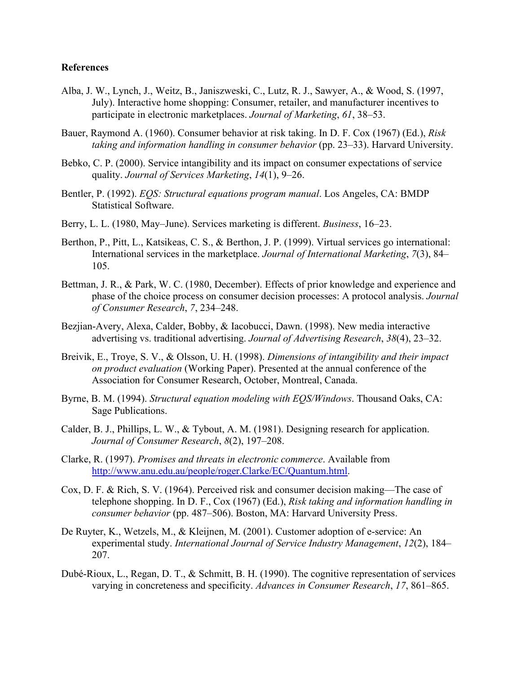### **References**

- Alba, J. W., Lynch, J., Weitz, B., Janiszweski, C., Lutz, R. J., Sawyer, A., & Wood, S. (1997, July). Interactive home shopping: Consumer, retailer, and manufacturer incentives to participate in electronic marketplaces. *Journal of Marketing*, *61*, 38–53.
- Bauer, Raymond A. (1960). Consumer behavior at risk taking. In D. F. Cox (1967) (Ed.), *Risk taking and information handling in consumer behavior* (pp. 23–33). Harvard University.
- Bebko, C. P. (2000). Service intangibility and its impact on consumer expectations of service quality. *Journal of Services Marketing*, *14*(1), 9–26.
- Bentler, P. (1992). *EQS: Structural equations program manual*. Los Angeles, CA: BMDP Statistical Software.
- Berry, L. L. (1980, May–June). Services marketing is different. *Business*, 16–23.
- Berthon, P., Pitt, L., Katsikeas, C. S., & Berthon, J. P. (1999). Virtual services go international: International services in the marketplace. *Journal of International Marketing*, *7*(3), 84– 105.
- Bettman, J. R., & Park, W. C. (1980, December). Effects of prior knowledge and experience and phase of the choice process on consumer decision processes: A protocol analysis. *Journal of Consumer Research*, *7*, 234–248.
- Bezjian-Avery, Alexa, Calder, Bobby, & Iacobucci, Dawn. (1998). New media interactive advertising vs. traditional advertising. *Journal of Advertising Research*, *38*(4), 23–32.
- Breivik, E., Troye, S. V., & Olsson, U. H. (1998). *Dimensions of intangibility and their impact on product evaluation* (Working Paper). Presented at the annual conference of the Association for Consumer Research, October, Montreal, Canada.
- Byrne, B. M. (1994). *Structural equation modeling with EQS/Windows*. Thousand Oaks, CA: Sage Publications.
- Calder, B. J., Phillips, L. W., & Tybout, A. M. (1981). Designing research for application. *Journal of Consumer Research*, *8*(2), 197–208.
- Clarke, R. (1997). *Promises and threats in electronic commerce*. Available from [http://www.anu.edu.au/people/roger.Clarke/EC/Quantum.html.](http://www.anu.edu.au/people/roger.Clarke/EC/Quantum.html)
- Cox, D. F. & Rich, S. V. (1964). Perceived risk and consumer decision making—The case of telephone shopping. In D. F., Cox (1967) (Ed.), *Risk taking and information handling in consumer behavior* (pp. 487–506). Boston, MA: Harvard University Press.
- De Ruyter, K., Wetzels, M., & Kleijnen, M. (2001). Customer adoption of e-service: An experimental study. *International Journal of Service Industry Management*, *12*(2), 184– 207.
- Dubé-Rioux, L., Regan, D. T., & Schmitt, B. H. (1990). The cognitive representation of services varying in concreteness and specificity. *Advances in Consumer Research*, *17*, 861–865.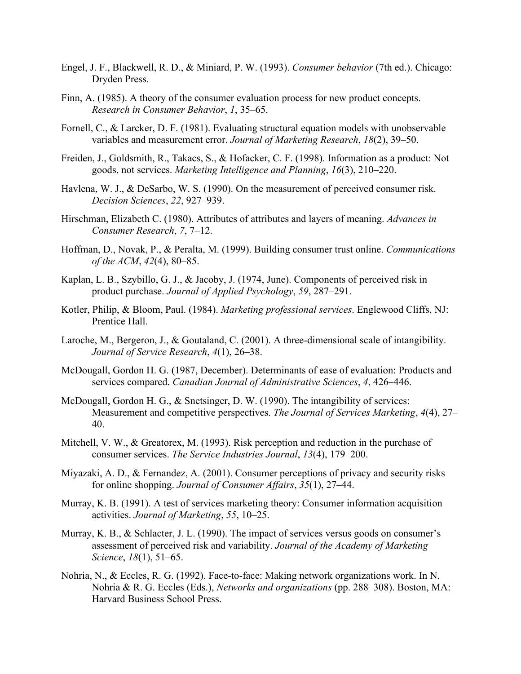- Engel, J. F., Blackwell, R. D., & Miniard, P. W. (1993). *Consumer behavior* (7th ed.). Chicago: Dryden Press.
- Finn, A. (1985). A theory of the consumer evaluation process for new product concepts. *Research in Consumer Behavior*, *1*, 35–65.
- Fornell, C., & Larcker, D. F. (1981). Evaluating structural equation models with unobservable variables and measurement error. *Journal of Marketing Research*, *18*(2), 39–50.
- Freiden, J., Goldsmith, R., Takacs, S., & Hofacker, C. F. (1998). Information as a product: Not goods, not services. *Marketing Intelligence and Planning*, *16*(3), 210–220.
- Havlena, W. J., & DeSarbo, W. S. (1990). On the measurement of perceived consumer risk. *Decision Sciences*, *22*, 927–939.
- Hirschman, Elizabeth C. (1980). Attributes of attributes and layers of meaning. *Advances in Consumer Research*, *7*, 7–12.
- Hoffman, D., Novak, P., & Peralta, M. (1999). Building consumer trust online. *Communications of the ACM*, *42*(4), 80–85.
- Kaplan, L. B., Szybillo, G. J., & Jacoby, J. (1974, June). Components of perceived risk in product purchase. *Journal of Applied Psychology*, *59*, 287–291.
- Kotler, Philip, & Bloom, Paul. (1984). *Marketing professional services*. Englewood Cliffs, NJ: Prentice Hall.
- Laroche, M., Bergeron, J., & Goutaland, C. (2001). A three-dimensional scale of intangibility. *Journal of Service Research*, *4*(1), 26–38.
- McDougall, Gordon H. G. (1987, December). Determinants of ease of evaluation: Products and services compared. *Canadian Journal of Administrative Sciences*, *4*, 426–446.
- McDougall, Gordon H. G., & Snetsinger, D. W. (1990). The intangibility of services: Measurement and competitive perspectives. *The Journal of Services Marketing*, *4*(4), 27– 40.
- Mitchell, V. W., & Greatorex, M. (1993). Risk perception and reduction in the purchase of consumer services. *The Service Industries Journal*, *13*(4), 179–200.
- Miyazaki, A. D., & Fernandez, A. (2001). Consumer perceptions of privacy and security risks for online shopping. *Journal of Consumer Affairs*, *35*(1), 27–44.
- Murray, K. B. (1991). A test of services marketing theory: Consumer information acquisition activities. *Journal of Marketing*, *55*, 10–25.
- Murray, K. B., & Schlacter, J. L. (1990). The impact of services versus goods on consumer's assessment of perceived risk and variability. *Journal of the Academy of Marketing Science*, *18*(1), 51–65.
- Nohria, N., & Eccles, R. G. (1992). Face-to-face: Making network organizations work. In N. Nohria & R. G. Eccles (Eds.), *Networks and organizations* (pp. 288–308). Boston, MA: Harvard Business School Press.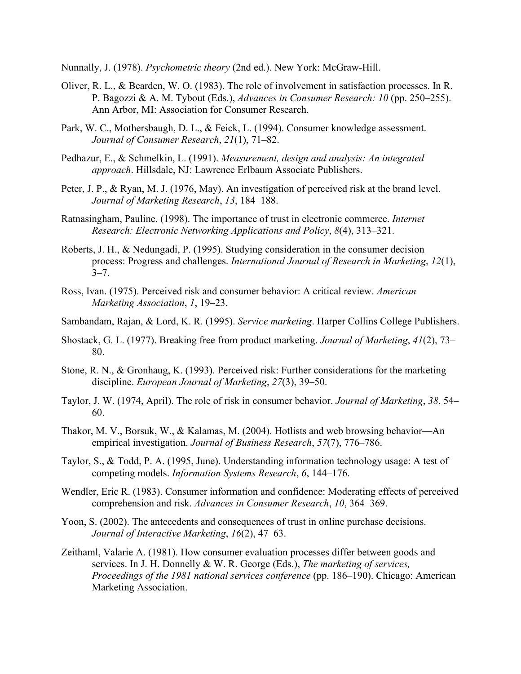Nunnally, J. (1978). *Psychometric theory* (2nd ed.). New York: McGraw-Hill.

- Oliver, R. L., & Bearden, W. O. (1983). The role of involvement in satisfaction processes. In R. P. Bagozzi & A. M. Tybout (Eds.), *Advances in Consumer Research: 10* (pp. 250–255). Ann Arbor, MI: Association for Consumer Research.
- Park, W. C., Mothersbaugh, D. L., & Feick, L. (1994). Consumer knowledge assessment. *Journal of Consumer Research*, *21*(1), 71–82.
- Pedhazur, E., & Schmelkin, L. (1991). *Measurement, design and analysis: An integrated approach*. Hillsdale, NJ: Lawrence Erlbaum Associate Publishers.
- Peter, J. P., & Ryan, M. J. (1976, May). An investigation of perceived risk at the brand level. *Journal of Marketing Research*, *13*, 184–188.
- Ratnasingham, Pauline. (1998). The importance of trust in electronic commerce. *Internet Research: Electronic Networking Applications and Policy*, *8*(4), 313–321.
- Roberts, J. H., & Nedungadi, P. (1995). Studying consideration in the consumer decision process: Progress and challenges. *International Journal of Research in Marketing*, *12*(1),  $3 - 7$ .
- Ross, Ivan. (1975). Perceived risk and consumer behavior: A critical review. *American Marketing Association*, *1*, 19–23.
- Sambandam, Rajan, & Lord, K. R. (1995). *Service marketing*. Harper Collins College Publishers.
- Shostack, G. L. (1977). Breaking free from product marketing. *Journal of Marketing*, *41*(2), 73– 80.
- Stone, R. N., & Gronhaug, K. (1993). Perceived risk: Further considerations for the marketing discipline. *European Journal of Marketing*, *27*(3), 39–50.
- Taylor, J. W. (1974, April). The role of risk in consumer behavior. *Journal of Marketing*, *38*, 54– 60.
- Thakor, M. V., Borsuk, W., & Kalamas, M. (2004). Hotlists and web browsing behavior—An empirical investigation. *Journal of Business Research*, *57*(7), 776–786.
- Taylor, S., & Todd, P. A. (1995, June). Understanding information technology usage: A test of competing models. *Information Systems Research*, *6*, 144–176.
- Wendler, Eric R. (1983). Consumer information and confidence: Moderating effects of perceived comprehension and risk. *Advances in Consumer Research*, *10*, 364–369.
- Yoon, S. (2002). The antecedents and consequences of trust in online purchase decisions. *Journal of Interactive Marketing*, *16*(2), 47–63.
- Zeithaml, Valarie A. (1981). How consumer evaluation processes differ between goods and services. In J. H. Donnelly & W. R. George (Eds.), *The marketing of services, Proceedings of the 1981 national services conference* (pp. 186–190). Chicago: American Marketing Association.